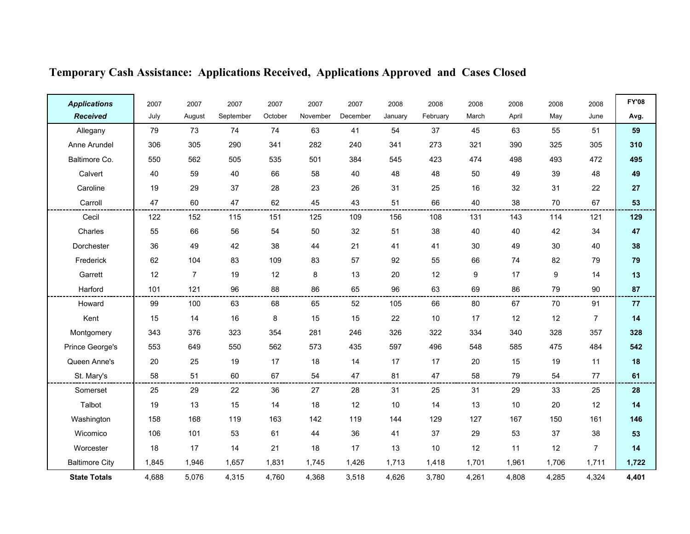| <b>Applications</b>   | 2007  | 2007           | 2007      | 2007    | 2007     | 2007     | 2008    | 2008     | 2008  | 2008  | 2008             | 2008           | <b>FY'08</b> |
|-----------------------|-------|----------------|-----------|---------|----------|----------|---------|----------|-------|-------|------------------|----------------|--------------|
| <b>Received</b>       | July  | August         | September | October | November | December | January | February | March | April | May              | June           | Avg.         |
| Allegany              | 79    | 73             | 74        | 74      | 63       | 41       | 54      | 37       | 45    | 63    | 55               | 51             | 59           |
| Anne Arundel          | 306   | 305            | 290       | 341     | 282      | 240      | 341     | 273      | 321   | 390   | 325              | 305            | 310          |
| Baltimore Co.         | 550   | 562            | 505       | 535     | 501      | 384      | 545     | 423      | 474   | 498   | 493              | 472            | 495          |
| Calvert               | 40    | 59             | 40        | 66      | 58       | 40       | 48      | 48       | 50    | 49    | 39               | 48             | 49           |
| Caroline              | 19    | 29             | 37        | 28      | 23       | 26       | 31      | 25       | 16    | 32    | 31               | 22             | 27           |
| Carroll               | 47    | 60             | 47        | 62      | 45       | 43       | 51      | 66       | 40    | 38    | 70               | 67             | 53           |
| Cecil                 | 122   | 152            | 115       | 151     | 125      | 109      | 156     | 108      | 131   | 143   | 114              | 121            | 129          |
| Charles               | 55    | 66             | 56        | 54      | 50       | 32       | 51      | 38       | 40    | 40    | 42               | 34             | 47           |
| Dorchester            | 36    | 49             | 42        | 38      | 44       | 21       | 41      | 41       | 30    | 49    | 30               | 40             | 38           |
| Frederick             | 62    | 104            | 83        | 109     | 83       | 57       | 92      | 55       | 66    | 74    | 82               | 79             | 79           |
| Garrett               | 12    | $\overline{7}$ | 19        | 12      | 8        | 13       | 20      | 12       | 9     | 17    | $\boldsymbol{9}$ | 14             | 13           |
| Harford               | 101   | 121            | 96        | 88      | 86       | 65       | 96      | 63       | 69    | 86    | 79               | 90             | 87           |
| Howard                | 99    | 100            | 63        | 68      | 65       | 52       | 105     | 66       | 80    | 67    | 70               | 91             | 77           |
| Kent                  | 15    | 14             | 16        | 8       | 15       | 15       | 22      | 10       | 17    | 12    | 12               | $\overline{7}$ | 14           |
| Montgomery            | 343   | 376            | 323       | 354     | 281      | 246      | 326     | 322      | 334   | 340   | 328              | 357            | 328          |
| Prince George's       | 553   | 649            | 550       | 562     | 573      | 435      | 597     | 496      | 548   | 585   | 475              | 484            | 542          |
| Queen Anne's          | 20    | 25             | 19        | 17      | 18       | 14       | 17      | 17       | 20    | 15    | 19               | 11             | 18           |
| St. Mary's            | 58    | 51             | 60        | 67      | 54       | 47       | 81      | 47       | 58    | 79    | 54               | 77             | 61           |
| Somerset              | 25    | 29             | 22        | 36      | 27       | 28       | 31      | 25       | 31    | 29    | 33               | 25             | 28           |
| Talbot                | 19    | 13             | 15        | 14      | 18       | 12       | 10      | 14       | 13    | 10    | 20               | 12             | 14           |
| Washington            | 158   | 168            | 119       | 163     | 142      | 119      | 144     | 129      | 127   | 167   | 150              | 161            | 146          |
| Wicomico              | 106   | 101            | 53        | 61      | 44       | 36       | 41      | 37       | 29    | 53    | 37               | 38             | 53           |
| Worcester             | 18    | 17             | 14        | 21      | 18       | 17       | 13      | 10       | 12    | 11    | 12               | $\overline{7}$ | 14           |
| <b>Baltimore City</b> | 1,845 | 1,946          | 1,657     | 1,831   | 1,745    | 1,426    | 1,713   | 1,418    | 1,701 | 1,961 | 1,706            | 1,711          | 1,722        |
| <b>State Totals</b>   | 4,688 | 5,076          | 4,315     | 4,760   | 4,368    | 3,518    | 4,626   | 3,780    | 4,261 | 4,808 | 4,285            | 4,324          | 4,401        |

# Temporary Cash Assistance: Applications Received, Applications Approved and Cases Closed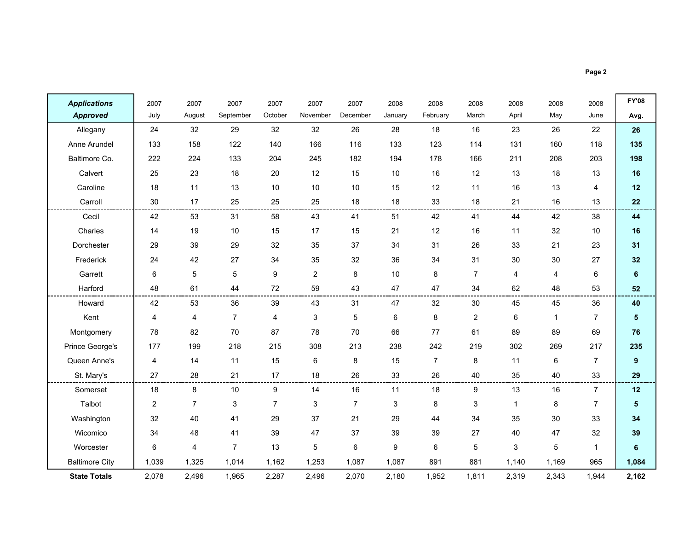| <b>Applications</b>   | 2007           | 2007           | 2007           | 2007           | 2007                      | 2007           | 2008    | 2008           | 2008           | 2008         | 2008         | 2008           | <b>FY'08</b> |
|-----------------------|----------------|----------------|----------------|----------------|---------------------------|----------------|---------|----------------|----------------|--------------|--------------|----------------|--------------|
| <b>Approved</b>       | July           | August         | September      | October        | November                  | December       | January | February       | March          | April        | May          | June           | Avg.         |
| Allegany              | 24             | 32             | 29             | 32             | 32                        | 26             | 28      | 18             | 16             | 23           | 26           | 22             | 26           |
| Anne Arundel          | 133            | 158            | 122            | 140            | 166                       | 116            | 133     | 123            | 114            | 131          | 160          | 118            | 135          |
| Baltimore Co.         | 222            | 224            | 133            | 204            | 245                       | 182            | 194     | 178            | 166            | 211          | 208          | 203            | 198          |
| Calvert               | 25             | 23             | 18             | 20             | 12                        | 15             | 10      | 16             | 12             | 13           | 18           | 13             | 16           |
| Caroline              | 18             | 11             | 13             | $10$           | 10                        | $10$           | 15      | 12             | 11             | 16           | 13           | 4              | 12           |
| Carroll               | 30             | 17             | 25             | 25             | 25                        | 18             | 18      | 33             | 18             | 21           | 16           | 13             | 22           |
| Cecil                 | 42             | 53             | 31             | 58             | 43                        | 41             | 51      | 42             | 41             | 44           | 42           | 38             | 44           |
| Charles               | 14             | 19             | 10             | 15             | 17                        | 15             | 21      | 12             | 16             | 11           | 32           | 10             | 16           |
| Dorchester            | 29             | 39             | 29             | 32             | 35                        | 37             | 34      | 31             | 26             | 33           | 21           | 23             | 31           |
| Frederick             | 24             | 42             | 27             | 34             | 35                        | 32             | 36      | 34             | 31             | 30           | 30           | 27             | 32           |
| Garrett               | 6              | $\sqrt{5}$     | $\sqrt{5}$     | 9              | $\overline{2}$            | 8              | 10      | 8              | $\overline{7}$ | 4            | 4            | 6              | $\bf 6$      |
| Harford               | 48             | 61             | 44             | 72             | 59                        | 43             | 47      | 47             | 34             | 62           | 48           | 53             | 52           |
| Howard                | 42             | 53             | 36             | 39             | 43                        | 31             | 47      | 32             | 30             | 45           | 45           | 36             | 40           |
| Kent                  | 4              | 4              | $\overline{7}$ | 4              | $\ensuremath{\mathsf{3}}$ | 5              | 6       | 8              | $\overline{2}$ | 6            | $\mathbf{1}$ | $\overline{7}$ | 5            |
| Montgomery            | 78             | 82             | 70             | 87             | 78                        | 70             | 66      | 77             | 61             | 89           | 89           | 69             | 76           |
| Prince George's       | 177            | 199            | 218            | 215            | 308                       | 213            | 238     | 242            | 219            | 302          | 269          | 217            | 235          |
| Queen Anne's          | $\overline{4}$ | 14             | 11             | 15             | 6                         | 8              | 15      | $\overline{7}$ | 8              | 11           | 6            | $\overline{7}$ | 9            |
| St. Mary's            | 27             | 28             | 21             | 17             | 18                        | 26             | 33      | 26             | 40             | 35           | 40           | 33             | 29           |
| Somerset              | 18             | 8              | 10             | 9              | 14                        | 16             | 11      | 18             | 9              | 13           | 16           | $\overline{7}$ | 12           |
| Talbot                | 2              | $\overline{7}$ | 3              | $\overline{7}$ | 3                         | $\overline{7}$ | 3       | 8              | 3              | $\mathbf{1}$ | 8            | $\overline{7}$ | 5            |
| Washington            | 32             | 40             | 41             | 29             | 37                        | 21             | 29      | 44             | 34             | 35           | 30           | 33             | 34           |
| Wicomico              | 34             | 48             | 41             | 39             | 47                        | 37             | 39      | 39             | 27             | 40           | 47           | 32             | 39           |
| Worcester             | 6              | 4              | $\overline{7}$ | 13             | $\overline{5}$            | 6              | 9       | 6              | 5              | 3            | 5            | $\mathbf{1}$   | 6            |
| <b>Baltimore City</b> | 1,039          | 1,325          | 1,014          | 1,162          | 1,253                     | 1,087          | 1,087   | 891            | 881            | 1,140        | 1,169        | 965            | 1,084        |
| <b>State Totals</b>   | 2,078          | 2,496          | 1,965          | 2,287          | 2,496                     | 2,070          | 2,180   | 1,952          | 1,811          | 2,319        | 2,343        | 1,944          | 2,162        |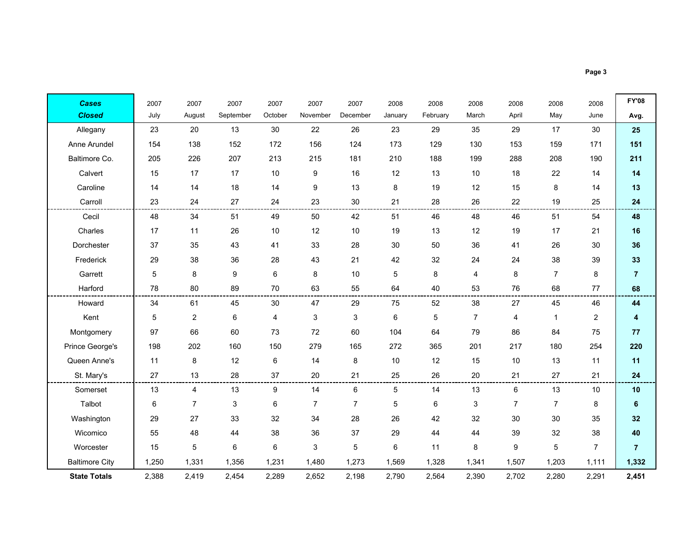| <b>Cases</b>          | 2007  | 2007           | 2007      | 2007    | 2007           | 2007                      | 2008    | 2008     | 2008           | 2008           | 2008           | 2008           | <b>FY'08</b>   |
|-----------------------|-------|----------------|-----------|---------|----------------|---------------------------|---------|----------|----------------|----------------|----------------|----------------|----------------|
| <b>Closed</b>         | July  | August         | September | October | November       | December                  | January | February | March          | April          | May            | June           | Avg.           |
| Allegany              | 23    | 20             | 13        | 30      | 22             | 26                        | 23      | 29       | 35             | 29             | 17             | 30             | 25             |
| Anne Arundel          | 154   | 138            | 152       | 172     | 156            | 124                       | 173     | 129      | 130            | 153            | 159            | 171            | 151            |
| Baltimore Co.         | 205   | 226            | 207       | 213     | 215            | 181                       | 210     | 188      | 199            | 288            | 208            | 190            | 211            |
| Calvert               | 15    | 17             | 17        | 10      | 9              | 16                        | 12      | 13       | 10             | 18             | 22             | 14             | 14             |
| Caroline              | 14    | 14             | 18        | 14      | 9              | 13                        | 8       | 19       | 12             | 15             | 8              | 14             | 13             |
| Carroll               | 23    | 24             | 27        | 24      | 23             | $30\,$                    | 21      | 28       | 26             | 22             | 19             | 25             | 24             |
| Cecil                 | 48    | 34             | 51        | 49      | 50             | 42                        | 51      | 46       | 48             | 46             | 51             | 54             | 48             |
| Charles               | 17    | 11             | 26        | 10      | 12             | $10$                      | 19      | 13       | 12             | 19             | 17             | 21             | 16             |
| Dorchester            | 37    | 35             | 43        | 41      | 33             | 28                        | 30      | 50       | 36             | 41             | 26             | 30             | 36             |
| Frederick             | 29    | 38             | 36        | 28      | 43             | 21                        | 42      | 32       | 24             | 24             | 38             | 39             | 33             |
| Garrett               | 5     | 8              | 9         | 6       | 8              | 10                        | 5       | 8        | 4              | 8              | $\overline{7}$ | 8              | $\overline{7}$ |
| Harford               | 78    | 80             | 89        | $70\,$  | 63             | 55                        | 64      | 40       | 53             | 76             | 68             | 77             | 68             |
| Howard                | 34    | 61             | 45        | 30      | 47             | 29                        | 75      | 52       | 38             | 27             | 45             | 46             | 44             |
| Kent                  | 5     | 2              | 6         | 4       | 3              | $\ensuremath{\mathsf{3}}$ | 6       | 5        | $\overline{7}$ | 4              | $\mathbf{1}$   | $\overline{2}$ | 4              |
| Montgomery            | 97    | 66             | 60        | 73      | 72             | 60                        | 104     | 64       | 79             | 86             | 84             | 75             | 77             |
| Prince George's       | 198   | 202            | 160       | 150     | 279            | 165                       | 272     | 365      | 201            | 217            | 180            | 254            | 220            |
| Queen Anne's          | 11    | $\,8\,$        | 12        | 6       | 14             | 8                         | 10      | 12       | 15             | 10             | 13             | 11             | 11             |
| St. Mary's            | 27    | 13             | 28        | 37      | 20             | 21                        | 25      | 26       | 20             | 21             | 27             | 21             | 24             |
| Somerset              | 13    | 4              | 13        | 9       | 14             | 6                         | 5       | 14       | 13             | $\,6\,$        | 13             | 10             | 10             |
| Talbot                | 6     | $\overline{7}$ | 3         | 6       | $\overline{7}$ | 7                         | 5       | 6        | 3              | $\overline{7}$ | $\overline{7}$ | 8              | 6              |
| Washington            | 29    | 27             | 33        | 32      | 34             | 28                        | 26      | 42       | 32             | 30             | 30             | 35             | 32             |
| Wicomico              | 55    | 48             | 44        | 38      | 36             | 37                        | 29      | 44       | 44             | 39             | 32             | 38             | 40             |
| Worcester             | 15    | 5              | 6         | 6       | 3              | 5                         | 6       | 11       | 8              | 9              | 5              | $\overline{7}$ | $\overline{7}$ |
| <b>Baltimore City</b> | 1,250 | 1,331          | 1,356     | 1,231   | 1,480          | 1,273                     | 1,569   | 1,328    | 1,341          | 1,507          | 1,203          | 1,111          | 1,332          |
| <b>State Totals</b>   | 2,388 | 2,419          | 2,454     | 2,289   | 2,652          | 2,198                     | 2,790   | 2,564    | 2,390          | 2,702          | 2,280          | 2,291          | 2,451          |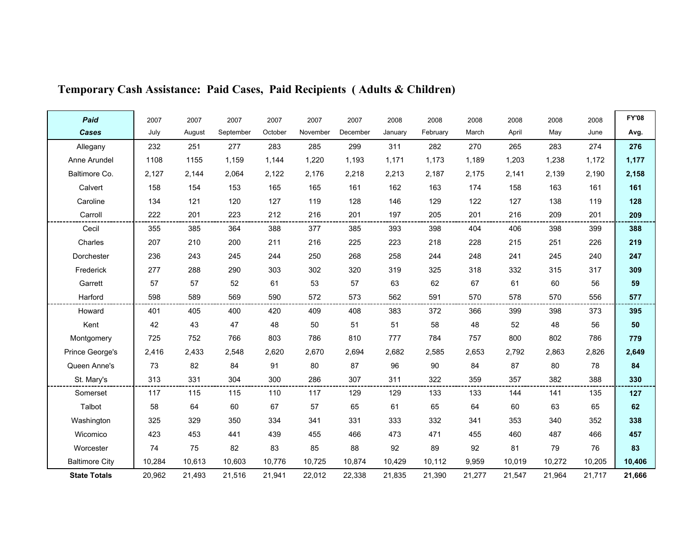| Paid                  | 2007   | 2007   | 2007      | 2007    | 2007     | 2007     | 2008    | 2008     | 2008   | 2008   | 2008   | 2008   | <b>FY'08</b> |
|-----------------------|--------|--------|-----------|---------|----------|----------|---------|----------|--------|--------|--------|--------|--------------|
| Cases                 | July   | August | September | October | November | December | January | February | March  | April  | May    | June   | Avg.         |
| Allegany              | 232    | 251    | 277       | 283     | 285      | 299      | 311     | 282      | 270    | 265    | 283    | 274    | 276          |
| Anne Arundel          | 1108   | 1155   | 1,159     | 1,144   | 1,220    | 1,193    | 1,171   | 1,173    | 1,189  | 1,203  | 1,238  | 1,172  | 1,177        |
| Baltimore Co.         | 2,127  | 2,144  | 2,064     | 2,122   | 2,176    | 2,218    | 2,213   | 2,187    | 2,175  | 2,141  | 2,139  | 2,190  | 2,158        |
| Calvert               | 158    | 154    | 153       | 165     | 165      | 161      | 162     | 163      | 174    | 158    | 163    | 161    | 161          |
| Caroline              | 134    | 121    | 120       | 127     | 119      | 128      | 146     | 129      | 122    | 127    | 138    | 119    | 128          |
| Carroll               | 222    | 201    | 223       | 212     | 216      | 201      | 197     | 205      | 201    | 216    | 209    | 201    | 209          |
| Cecil                 | 355    | 385    | 364       | 388     | 377      | 385      | 393     | 398      | 404    | 406    | 398    | 399    | 388          |
| Charles               | 207    | 210    | 200       | 211     | 216      | 225      | 223     | 218      | 228    | 215    | 251    | 226    | 219          |
| Dorchester            | 236    | 243    | 245       | 244     | 250      | 268      | 258     | 244      | 248    | 241    | 245    | 240    | 247          |
| Frederick             | 277    | 288    | 290       | 303     | 302      | 320      | 319     | 325      | 318    | 332    | 315    | 317    | 309          |
| Garrett               | 57     | 57     | 52        | 61      | 53       | 57       | 63      | 62       | 67     | 61     | 60     | 56     | 59           |
| Harford               | 598    | 589    | 569       | 590     | 572      | 573      | 562     | 591      | 570    | 578    | 570    | 556    | 577          |
| Howard                | 401    | 405    | 400       | 420     | 409      | 408      | 383     | 372      | 366    | 399    | 398    | 373    | 395          |
| Kent                  | 42     | 43     | 47        | 48      | 50       | 51       | 51      | 58       | 48     | 52     | 48     | 56     | 50           |
| Montgomery            | 725    | 752    | 766       | 803     | 786      | 810      | 777     | 784      | 757    | 800    | 802    | 786    | 779          |
| Prince George's       | 2,416  | 2,433  | 2,548     | 2,620   | 2,670    | 2,694    | 2,682   | 2,585    | 2,653  | 2,792  | 2,863  | 2,826  | 2,649        |
| Queen Anne's          | 73     | 82     | 84        | 91      | 80       | 87       | 96      | 90       | 84     | 87     | 80     | 78     | 84           |
| St. Mary's            | 313    | 331    | 304       | 300     | 286      | 307      | 311     | 322      | 359    | 357    | 382    | 388    | 330          |
| Somerset              | 117    | 115    | 115       | 110     | 117      | 129      | 129     | 133      | 133    | 144    | 141    | 135    | 127          |
| Talbot                | 58     | 64     | 60        | 67      | 57       | 65       | 61      | 65       | 64     | 60     | 63     | 65     | 62           |
| Washington            | 325    | 329    | 350       | 334     | 341      | 331      | 333     | 332      | 341    | 353    | 340    | 352    | 338          |
| Wicomico              | 423    | 453    | 441       | 439     | 455      | 466      | 473     | 471      | 455    | 460    | 487    | 466    | 457          |
| Worcester             | 74     | 75     | 82        | 83      | 85       | 88       | 92      | 89       | 92     | 81     | 79     | 76     | 83           |
| <b>Baltimore City</b> | 10,284 | 10,613 | 10,603    | 10,776  | 10,725   | 10,874   | 10,429  | 10,112   | 9,959  | 10,019 | 10,272 | 10,205 | 10,406       |
| <b>State Totals</b>   | 20,962 | 21,493 | 21,516    | 21,941  | 22,012   | 22,338   | 21,835  | 21,390   | 21,277 | 21,547 | 21,964 | 21,717 | 21,666       |

### Temporary Cash Assistance: Paid Cases, Paid Recipients ( Adults & Children)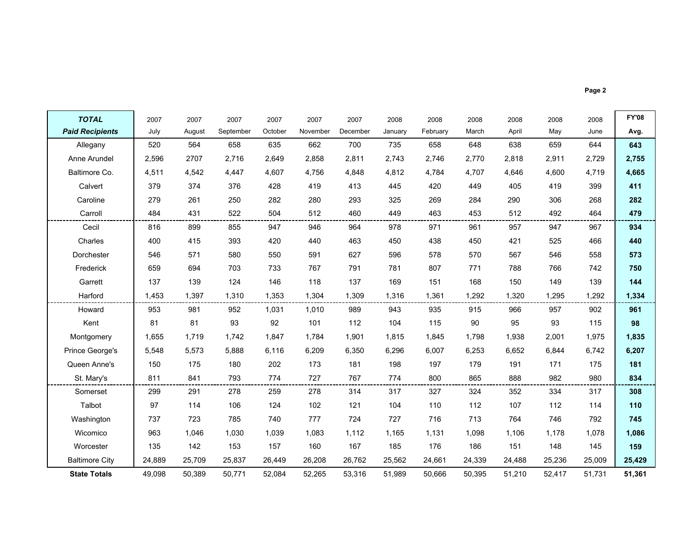|--|--|

| <b>TOTAL</b>           | 2007   | 2007   | 2007      | 2007    | 2007     | 2007     | 2008    | 2008     | 2008   | 2008   | 2008   | 2008   | <b>FY'08</b> |
|------------------------|--------|--------|-----------|---------|----------|----------|---------|----------|--------|--------|--------|--------|--------------|
| <b>Paid Recipients</b> | July   | August | September | October | November | December | January | February | March  | April  | May    | June   | Avg.         |
| Allegany               | 520    | 564    | 658       | 635     | 662      | 700      | 735     | 658      | 648    | 638    | 659    | 644    | 643          |
| Anne Arundel           | 2,596  | 2707   | 2,716     | 2,649   | 2,858    | 2.811    | 2,743   | 2,746    | 2,770  | 2,818  | 2,911  | 2,729  | 2,755        |
| Baltimore Co.          | 4,511  | 4,542  | 4,447     | 4,607   | 4,756    | 4,848    | 4,812   | 4,784    | 4,707  | 4,646  | 4,600  | 4,719  | 4,665        |
| Calvert                | 379    | 374    | 376       | 428     | 419      | 413      | 445     | 420      | 449    | 405    | 419    | 399    | 411          |
| Caroline               | 279    | 261    | 250       | 282     | 280      | 293      | 325     | 269      | 284    | 290    | 306    | 268    | 282          |
| Carroll                | 484    | 431    | 522       | 504     | 512      | 460      | 449     | 463      | 453    | 512    | 492    | 464    | 479          |
| Cecil                  | 816    | 899    | 855       | 947     | 946      | 964      | 978     | 971      | 961    | 957    | 947    | 967    | 934          |
| Charles                | 400    | 415    | 393       | 420     | 440      | 463      | 450     | 438      | 450    | 421    | 525    | 466    | 440          |
| Dorchester             | 546    | 571    | 580       | 550     | 591      | 627      | 596     | 578      | 570    | 567    | 546    | 558    | 573          |
| Frederick              | 659    | 694    | 703       | 733     | 767      | 791      | 781     | 807      | 771    | 788    | 766    | 742    | 750          |
| Garrett                | 137    | 139    | 124       | 146     | 118      | 137      | 169     | 151      | 168    | 150    | 149    | 139    | 144          |
| Harford                | 1,453  | 1,397  | 1,310     | 1,353   | 1,304    | 1,309    | 1,316   | 1,361    | 1,292  | 1,320  | 1,295  | 1,292  | 1,334        |
| Howard                 | 953    | 981    | 952       | 1,031   | 1,010    | 989      | 943     | 935      | 915    | 966    | 957    | 902    | 961          |
| Kent                   | 81     | 81     | 93        | 92      | 101      | 112      | 104     | 115      | 90     | 95     | 93     | 115    | 98           |
| Montgomery             | 1,655  | 1.719  | 1.742     | 1.847   | 1.784    | 1,901    | 1.815   | 1,845    | 1.798  | 1,938  | 2,001  | 1,975  | 1,835        |
| Prince George's        | 5,548  | 5,573  | 5,888     | 6,116   | 6,209    | 6,350    | 6,296   | 6,007    | 6,253  | 6,652  | 6,844  | 6,742  | 6,207        |
| Queen Anne's           | 150    | 175    | 180       | 202     | 173      | 181      | 198     | 197      | 179    | 191    | 171    | 175    | 181          |
| St. Mary's             | 811    | 841    | 793       | 774     | 727      | 767      | 774     | 800      | 865    | 888    | 982    | 980    | 834          |
| Somerset               | 299    | 291    | 278       | 259     | 278      | 314      | 317     | 327      | 324    | 352    | 334    | 317    | 308          |
| Talbot                 | 97     | 114    | 106       | 124     | 102      | 121      | 104     | 110      | 112    | 107    | 112    | 114    | 110          |
| Washington             | 737    | 723    | 785       | 740     | 777      | 724      | 727     | 716      | 713    | 764    | 746    | 792    | 745          |
| Wicomico               | 963    | 1,046  | 1,030     | 1,039   | 1.083    | 1,112    | 1,165   | 1,131    | 1,098  | 1,106  | 1,178  | 1,078  | 1,086        |
| Worcester              | 135    | 142    | 153       | 157     | 160      | 167      | 185     | 176      | 186    | 151    | 148    | 145    | 159          |
| <b>Baltimore City</b>  | 24,889 | 25,709 | 25,837    | 26,449  | 26,208   | 26,762   | 25,562  | 24,661   | 24,339 | 24,488 | 25,236 | 25,009 | 25,429       |
| <b>State Totals</b>    | 49,098 | 50,389 | 50,771    | 52,084  | 52,265   | 53,316   | 51,989  | 50.666   | 50,395 | 51,210 | 52,417 | 51,731 | 51,361       |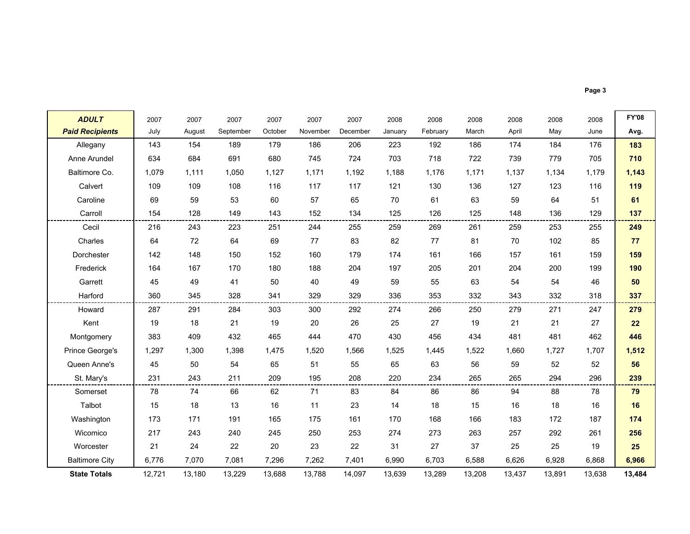| <b>ADULT</b>           | 2007   | 2007   | 2007      | 2007    | 2007     | 2007     | 2008    | 2008     | 2008   | 2008   | 2008   | 2008   | <b>FY'08</b> |
|------------------------|--------|--------|-----------|---------|----------|----------|---------|----------|--------|--------|--------|--------|--------------|
| <b>Paid Recipients</b> | July   | August | September | October | November | December | January | February | March  | April  | May    | June   | Avg.         |
| Allegany               | 143    | 154    | 189       | 179     | 186      | 206      | 223     | 192      | 186    | 174    | 184    | 176    | 183          |
| Anne Arundel           | 634    | 684    | 691       | 680     | 745      | 724      | 703     | 718      | 722    | 739    | 779    | 705    | 710          |
| Baltimore Co.          | 1,079  | 1,111  | 1,050     | 1,127   | 1,171    | 1,192    | 1,188   | 1,176    | 1,171  | 1,137  | 1,134  | 1,179  | 1,143        |
| Calvert                | 109    | 109    | 108       | 116     | 117      | 117      | 121     | 130      | 136    | 127    | 123    | 116    | 119          |
| Caroline               | 69     | 59     | 53        | 60      | 57       | 65       | 70      | 61       | 63     | 59     | 64     | 51     | 61           |
| Carroll                | 154    | 128    | 149       | 143     | 152      | 134      | 125     | 126      | 125    | 148    | 136    | 129    | 137          |
| Cecil                  | 216    | 243    | 223       | 251     | 244      | 255      | 259     | 269      | 261    | 259    | 253    | 255    | 249          |
| Charles                | 64     | 72     | 64        | 69      | 77       | 83       | 82      | 77       | 81     | 70     | 102    | 85     | 77           |
| Dorchester             | 142    | 148    | 150       | 152     | 160      | 179      | 174     | 161      | 166    | 157    | 161    | 159    | 159          |
| Frederick              | 164    | 167    | 170       | 180     | 188      | 204      | 197     | 205      | 201    | 204    | 200    | 199    | 190          |
| Garrett                | 45     | 49     | 41        | 50      | 40       | 49       | 59      | 55       | 63     | 54     | 54     | 46     | 50           |
| Harford                | 360    | 345    | 328       | 341     | 329      | 329      | 336     | 353      | 332    | 343    | 332    | 318    | 337          |
| Howard                 | 287    | 291    | 284       | 303     | 300      | 292      | 274     | 266      | 250    | 279    | 271    | 247    | 279          |
| Kent                   | 19     | 18     | 21        | 19      | 20       | 26       | 25      | 27       | 19     | 21     | 21     | 27     | 22           |
| Montgomery             | 383    | 409    | 432       | 465     | 444      | 470      | 430     | 456      | 434    | 481    | 481    | 462    | 446          |
| Prince George's        | 1,297  | 1,300  | 1,398     | 1,475   | 1,520    | 1,566    | 1,525   | 1,445    | 1,522  | 1,660  | 1,727  | 1,707  | 1,512        |
| Queen Anne's           | 45     | 50     | 54        | 65      | 51       | 55       | 65      | 63       | 56     | 59     | 52     | 52     | 56           |
| St. Mary's             | 231    | 243    | 211       | 209     | 195      | 208      | 220     | 234      | 265    | 265    | 294    | 296    | 239          |
| Somerset               | 78     | 74     | 66        | 62      | 71       | 83       | 84      | 86       | 86     | 94     | 88     | 78     | 79           |
| Talbot                 | 15     | 18     | 13        | 16      | 11       | 23       | 14      | 18       | 15     | 16     | 18     | 16     | 16           |
| Washington             | 173    | 171    | 191       | 165     | 175      | 161      | 170     | 168      | 166    | 183    | 172    | 187    | 174          |
| Wicomico               | 217    | 243    | 240       | 245     | 250      | 253      | 274     | 273      | 263    | 257    | 292    | 261    | 256          |
| Worcester              | 21     | 24     | 22        | 20      | 23       | 22       | 31      | 27       | 37     | 25     | 25     | 19     | 25           |
| <b>Baltimore City</b>  | 6,776  | 7,070  | 7,081     | 7,296   | 7,262    | 7,401    | 6,990   | 6,703    | 6,588  | 6,626  | 6,928  | 6,868  | 6,966        |
| <b>State Totals</b>    | 12,721 | 13,180 | 13,229    | 13,688  | 13,788   | 14,097   | 13,639  | 13,289   | 13,208 | 13,437 | 13,891 | 13,638 | 13,484       |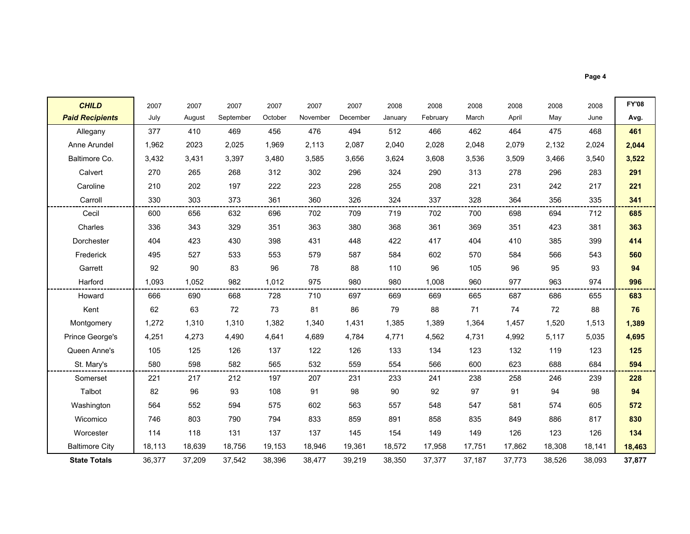**CHILD D |** 2007 2007 2007 2007 2007 2007 2008 2008 2008 2008 2008 2008 <mark>FY'08</mark> Paid Recipients<mark>'s I</mark> July August September October November December January February March April May June | Avg. Allegany | 377 - 410 - 469 - 456 - 476 - 494 - 512 - 466 - 462 - 464 - 475 - 468 <mark>- 461</mark> Anne Arundel | 1,962 2023 2,025 1,969 2,113 2,087 2,040 2,028 2,048 2,079 2,132 2,024 <mark>2,044</mark> Baltimore Co. | 3,432 3,431 3,397 3,480 3,585 3,656 3,624 3,608 3,536 3,509 3,466 3,540 <mark> 3,522</mark> Calvert | 270 265 268 312 296 324 290 313 278 296 283 <mark> 291</mark> Caroline | 210 202 197 222 223 228 255 208 221 231 242 217 <mark>221</mark> Carroll <sup>330</sup> <sup>303</sup> <sup>373</sup> <sup>361</sup> <sup>360</sup> <sup>326</sup> <sup>324</sup> <sup>337</sup> <sup>328</sup> <sup>364</sup> <sup>356</sup> <sup>335</sup> <sup>341</sup> Cecil | 600 656 632 696 702 709 719 702 700 698 694 712 <mark>| 685</mark> Charles | 336 343 329 351 363 380 368 361 369 351 423 381 <mark>363</mark> Dorchester | 404 423 430 398 431 448 422 417 404 410 385 399 <mark>414</mark> Frederick | 495 527 533 553 579 587 584 602 570 584 566 543 <mark>| 560</mark> Garrett | 92 90 83 96 78 88 110 96 105 96 95 93 <mark>94</mark> Harford 1,093 1,052 <sup>982</sup> 1,012 <sup>975</sup> <sup>980</sup> <sup>980</sup> 1,008 <sup>960</sup> <sup>977</sup> <sup>963</sup> <sup>974</sup> <sup>996</sup> Howard | 666 690 668 728 710 697 669 669 665 687 686 655 <mark>| 683</mark> Kent | 62 63 72 73 81 86 79 88 71 74 72 88 <mark>76</mark> Montgomery | 1,272 1,310 1,310 1,382 1,340 1,431 1,385 1,389 1,364 1,457 1,520 1,513 <mark>| 1,389</mark> Prince George's | 4,251 4,273 4,490 4,641 4,689 4,784 4,771 4,562 4,731 4,992 5,117 5,035 <mark>4,695</mark> Queen Anne's | 105 125 126 137 122 126 133 134 123 132 119 123 <mark>125</mark> St. Mary's <sup>580</sup> <sup>598</sup> <sup>582</sup> <sup>565</sup> <sup>532</sup> <sup>559</sup> <sup>554</sup> <sup>566</sup> <sup>600</sup> <sup>623</sup> <sup>688</sup> <sup>684</sup> <sup>594</sup> Somerset | 221 217 212 197 207 231 233 241 238 258 246 239 <mark>228</mark> Talbot <sup>82</sup> <sup>96</sup> <sup>93</sup> <sup>108</sup> <sup>91</sup> <sup>98</sup> <sup>90</sup> <sup>92</sup> <sup>97</sup> <sup>91</sup> <sup>94</sup> <sup>98</sup> <sup>94</sup> Washington | 564 552 594 575 602 563 557 548 547 581 574 605 <mark>| 572</mark> Wicomico | 746 803 790 794 833 859 891 858 835 849 886 817 <mark>830</mark> Worcester | 114 118 131 137 137 145 154 149 149 126 123 126 <mark>134</mark> Baltimore City | 18,113 18,639 18,756 19,153 18,946 19,361 18,572 17,958 17,751 17,862 18,308 18,141 <mark>| 18,463</mark>

36,377 37,209 37,542 38,396 38,477 39,219 38,350 37,377 37,187 37,773 38,526 38,093 37,877

State Totals

Page 4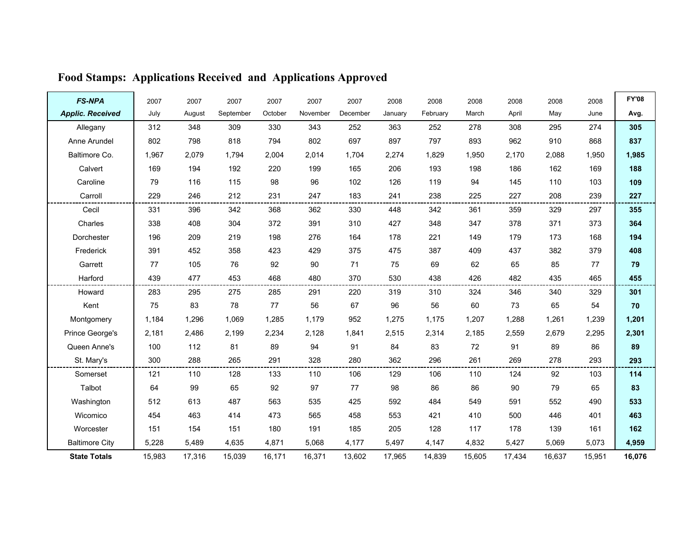| <b>FS-NPA</b>           | 2007   | 2007   | 2007      | 2007    | 2007     | 2007     | 2008    | 2008     | 2008   | 2008   | 2008   | 2008   | <b>FY'08</b> |
|-------------------------|--------|--------|-----------|---------|----------|----------|---------|----------|--------|--------|--------|--------|--------------|
| <b>Applic. Received</b> | July   | August | September | October | November | December | January | February | March  | April  | May    | June   | Avg.         |
| Allegany                | 312    | 348    | 309       | 330     | 343      | 252      | 363     | 252      | 278    | 308    | 295    | 274    | 305          |
| Anne Arundel            | 802    | 798    | 818       | 794     | 802      | 697      | 897     | 797      | 893    | 962    | 910    | 868    | 837          |
| Baltimore Co.           | 1,967  | 2,079  | 1,794     | 2,004   | 2,014    | 1,704    | 2,274   | 1,829    | 1,950  | 2,170  | 2,088  | 1,950  | 1,985        |
| Calvert                 | 169    | 194    | 192       | 220     | 199      | 165      | 206     | 193      | 198    | 186    | 162    | 169    | 188          |
| Caroline                | 79     | 116    | 115       | 98      | 96       | 102      | 126     | 119      | 94     | 145    | 110    | 103    | 109          |
| Carroll                 | 229    | 246    | 212       | 231     | 247      | 183      | 241     | 238      | 225    | 227    | 208    | 239    | 227          |
| Cecil                   | 331    | 396    | 342       | 368     | 362      | 330      | 448     | 342      | 361    | 359    | 329    | 297    | 355          |
| Charles                 | 338    | 408    | 304       | 372     | 391      | 310      | 427     | 348      | 347    | 378    | 371    | 373    | 364          |
| Dorchester              | 196    | 209    | 219       | 198     | 276      | 164      | 178     | 221      | 149    | 179    | 173    | 168    | 194          |
| Frederick               | 391    | 452    | 358       | 423     | 429      | 375      | 475     | 387      | 409    | 437    | 382    | 379    | 408          |
| Garrett                 | 77     | 105    | 76        | 92      | 90       | 71       | 75      | 69       | 62     | 65     | 85     | 77     | 79           |
| Harford                 | 439    | 477    | 453       | 468     | 480      | 370      | 530     | 438      | 426    | 482    | 435    | 465    | 455          |
| Howard                  | 283    | 295    | 275       | 285     | 291      | 220      | 319     | 310      | 324    | 346    | 340    | 329    | 301          |
| Kent                    | 75     | 83     | 78        | 77      | 56       | 67       | 96      | 56       | 60     | 73     | 65     | 54     | 70           |
| Montgomery              | 1,184  | 1,296  | 1,069     | 1,285   | 1,179    | 952      | 1,275   | 1,175    | 1,207  | 1,288  | 1,261  | 1,239  | 1,201        |
| Prince George's         | 2,181  | 2,486  | 2,199     | 2,234   | 2,128    | 1,841    | 2,515   | 2,314    | 2,185  | 2,559  | 2,679  | 2,295  | 2,301        |
| Queen Anne's            | 100    | 112    | 81        | 89      | 94       | 91       | 84      | 83       | 72     | 91     | 89     | 86     | 89           |
| St. Mary's              | 300    | 288    | 265       | 291     | 328      | 280      | 362     | 296      | 261    | 269    | 278    | 293    | 293          |
| Somerset                | 121    | 110    | 128       | 133     | 110      | 106      | 129     | 106      | 110    | 124    | 92     | 103    | 114          |
| Talbot                  | 64     | 99     | 65        | 92      | 97       | 77       | 98      | 86       | 86     | 90     | 79     | 65     | 83           |
| Washington              | 512    | 613    | 487       | 563     | 535      | 425      | 592     | 484      | 549    | 591    | 552    | 490    | 533          |
| Wicomico                | 454    | 463    | 414       | 473     | 565      | 458      | 553     | 421      | 410    | 500    | 446    | 401    | 463          |
| Worcester               | 151    | 154    | 151       | 180     | 191      | 185      | 205     | 128      | 117    | 178    | 139    | 161    | 162          |
| <b>Baltimore City</b>   | 5,228  | 5,489  | 4,635     | 4,871   | 5,068    | 4,177    | 5,497   | 4,147    | 4,832  | 5,427  | 5,069  | 5,073  | 4,959        |
| <b>State Totals</b>     | 15,983 | 17,316 | 15,039    | 16,171  | 16,371   | 13,602   | 17,965  | 14,839   | 15,605 | 17,434 | 16,637 | 15,951 | 16,076       |

# Food Stamps: Applications Received and Applications Approved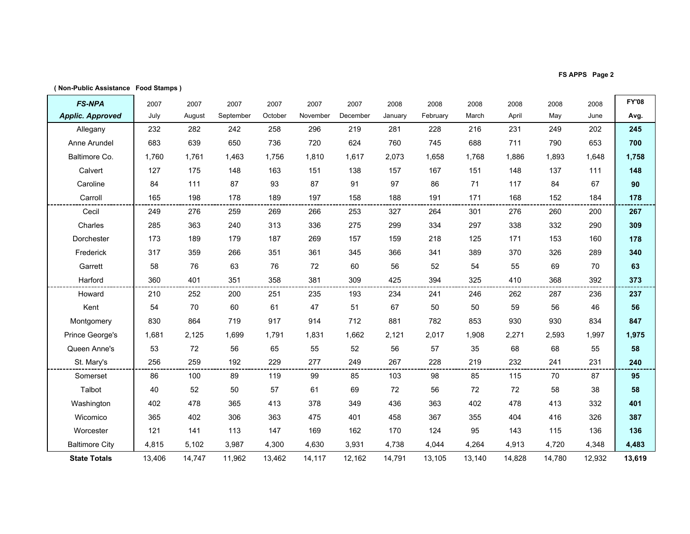FS APPS Page 2

| <b>FS-NPA</b>           | 2007   | 2007   | 2007      | 2007    | 2007     | 2007     | 2008    | 2008     | 2008   | 2008   | 2008   | 2008   | <b>FY'08</b> |
|-------------------------|--------|--------|-----------|---------|----------|----------|---------|----------|--------|--------|--------|--------|--------------|
| <b>Applic. Approved</b> | July   | August | September | October | November | December | January | February | March  | April  | May    | June   | Avg.         |
| Allegany                | 232    | 282    | 242       | 258     | 296      | 219      | 281     | 228      | 216    | 231    | 249    | 202    | 245          |
| Anne Arundel            | 683    | 639    | 650       | 736     | 720      | 624      | 760     | 745      | 688    | 711    | 790    | 653    | 700          |
| Baltimore Co.           | 1,760  | 1.761  | 1.463     | 1.756   | 1,810    | 1.617    | 2,073   | 1,658    | 1.768  | 1,886  | 1,893  | 1,648  | 1,758        |
| Calvert                 | 127    | 175    | 148       | 163     | 151      | 138      | 157     | 167      | 151    | 148    | 137    | 111    | 148          |
| Caroline                | 84     | 111    | 87        | 93      | 87       | 91       | 97      | 86       | 71     | 117    | 84     | 67     | 90           |
| Carroll                 | 165    | 198    | 178       | 189     | 197      | 158      | 188     | 191      | 171    | 168    | 152    | 184    | 178          |
| Cecil                   | 249    | 276    | 259       | 269     | 266      | 253      | 327     | 264      | 301    | 276    | 260    | 200    | 267          |
| Charles                 | 285    | 363    | 240       | 313     | 336      | 275      | 299     | 334      | 297    | 338    | 332    | 290    | 309          |
| Dorchester              | 173    | 189    | 179       | 187     | 269      | 157      | 159     | 218      | 125    | 171    | 153    | 160    | 178          |
| Frederick               | 317    | 359    | 266       | 351     | 361      | 345      | 366     | 341      | 389    | 370    | 326    | 289    | 340          |
| Garrett                 | 58     | 76     | 63        | 76      | 72       | 60       | 56      | 52       | 54     | 55     | 69     | 70     | 63           |
| Harford                 | 360    | 401    | 351       | 358     | 381      | 309      | 425     | 394      | 325    | 410    | 368    | 392    | 373          |
| Howard                  | 210    | 252    | 200       | 251     | 235      | 193      | 234     | 241      | 246    | 262    | 287    | 236    | 237          |
| Kent                    | 54     | 70     | 60        | 61      | 47       | 51       | 67      | 50       | 50     | 59     | 56     | 46     | 56           |
| Montgomery              | 830    | 864    | 719       | 917     | 914      | 712      | 881     | 782      | 853    | 930    | 930    | 834    | 847          |
| Prince George's         | 1,681  | 2,125  | 1.699     | 1,791   | 1,831    | 1,662    | 2,121   | 2,017    | 1.908  | 2,271  | 2,593  | 1,997  | 1,975        |
| Queen Anne's            | 53     | 72     | 56        | 65      | 55       | 52       | 56      | 57       | 35     | 68     | 68     | 55     | 58           |
| St. Mary's              | 256    | 259    | 192       | 229     | 277      | 249      | 267     | 228      | 219    | 232    | 241    | 231    | 240          |
| Somerset                | 86     | 100    | 89        | 119     | 99       | 85       | 103     | 98       | 85     | 115    | 70     | 87     | 95           |
| Talbot                  | 40     | 52     | 50        | 57      | 61       | 69       | 72      | 56       | 72     | 72     | 58     | 38     | 58           |
| Washington              | 402    | 478    | 365       | 413     | 378      | 349      | 436     | 363      | 402    | 478    | 413    | 332    | 401          |
| Wicomico                | 365    | 402    | 306       | 363     | 475      | 401      | 458     | 367      | 355    | 404    | 416    | 326    | 387          |
| Worcester               | 121    | 141    | 113       | 147     | 169      | 162      | 170     | 124      | 95     | 143    | 115    | 136    | 136          |
| <b>Baltimore City</b>   | 4,815  | 5,102  | 3,987     | 4,300   | 4,630    | 3,931    | 4,738   | 4.044    | 4,264  | 4,913  | 4,720  | 4,348  | 4,483        |
| <b>State Totals</b>     | 13,406 | 14,747 | 11,962    | 13,462  | 14,117   | 12,162   | 14,791  | 13,105   | 13,140 | 14,828 | 14,780 | 12,932 | 13,619       |
|                         |        |        |           |         |          |          |         |          |        |        |        |        |              |

( Non-Public Assistance Food Stamps )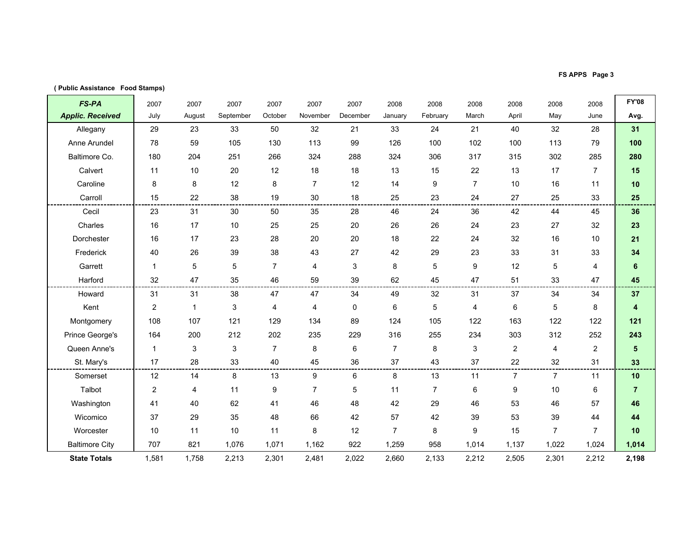FS APPS Page 3

| (Public Assistance Food Stamps) |  |  |
|---------------------------------|--|--|
|---------------------------------|--|--|

| FS-PA                   | 2007           | 2007         | 2007      | 2007           | 2007           | 2007     | 2008           | 2008             | 2008           | 2008           | 2008           | 2008           | <b>FY'08</b>            |
|-------------------------|----------------|--------------|-----------|----------------|----------------|----------|----------------|------------------|----------------|----------------|----------------|----------------|-------------------------|
| <b>Applic. Received</b> | July           | August       | September | October        | November       | December | January        | February         | March          | April          | May            | June           | Avg.                    |
| Allegany                | 29             | 23           | 33        | 50             | 32             | 21       | 33             | 24               | 21             | 40             | 32             | 28             | 31                      |
| Anne Arundel            | 78             | 59           | 105       | 130            | 113            | 99       | 126            | 100              | 102            | 100            | 113            | 79             | 100                     |
| Baltimore Co.           | 180            | 204          | 251       | 266            | 324            | 288      | 324            | 306              | 317            | 315            | 302            | 285            | 280                     |
| Calvert                 | 11             | 10           | 20        | 12             | 18             | 18       | 13             | 15               | 22             | 13             | 17             | $\overline{7}$ | 15                      |
| Caroline                | 8              | 8            | 12        | 8              | $\overline{7}$ | 12       | 14             | $\boldsymbol{9}$ | $\overline{7}$ | 10             | 16             | 11             | 10                      |
| Carroll                 | 15             | 22           | 38        | 19             | 30             | 18       | 25             | 23               | 24             | 27             | 25             | 33             | 25                      |
| Cecil                   | 23             | 31           | 30        | 50             | 35             | 28       | 46             | 24               | 36             | 42             | 44             | 45             | 36                      |
| Charles                 | 16             | 17           | 10        | 25             | 25             | 20       | 26             | 26               | 24             | 23             | 27             | 32             | 23                      |
| Dorchester              | 16             | 17           | 23        | 28             | 20             | 20       | 18             | 22               | 24             | 32             | 16             | 10             | 21                      |
| Frederick               | 40             | 26           | 39        | 38             | 43             | 27       | 42             | 29               | 23             | 33             | 31             | 33             | 34                      |
| Garrett                 | $\mathbf{1}$   | 5            | 5         | $\overline{7}$ | 4              | 3        | 8              | 5                | 9              | 12             | 5              | 4              | 6                       |
| Harford                 | 32             | 47           | 35        | 46             | 59             | 39       | 62             | 45               | 47             | 51             | 33             | 47             | 45                      |
| Howard                  | 31             | 31           | 38        | 47             | 47             | 34       | 49             | 32               | 31             | 37             | 34             | 34             | 37                      |
| Kent                    | $\overline{c}$ | $\mathbf{1}$ | 3         | 4              | $\overline{4}$ | 0        | 6              | $\sqrt{5}$       | 4              | 6              | 5              | 8              | $\overline{\mathbf{4}}$ |
| Montgomery              | 108            | 107          | 121       | 129            | 134            | 89       | 124            | 105              | 122            | 163            | 122            | 122            | 121                     |
| Prince George's         | 164            | 200          | 212       | 202            | 235            | 229      | 316            | 255              | 234            | 303            | 312            | 252            | 243                     |
| Queen Anne's            | $\mathbf{1}$   | 3            | 3         | $\overline{7}$ | 8              | 6        | $\overline{7}$ | 8                | 3              | $\overline{c}$ | 4              | $\overline{2}$ | $5\phantom{.0}$         |
| St. Mary's              | 17             | 28           | 33        | 40             | 45             | 36       | 37             | 43               | 37             | 22             | 32             | 31             | 33                      |
| Somerset                | 12             | 14           | 8         | 13             | 9              | 6        | 8              | 13               | 11             | $\overline{7}$ | $\overline{7}$ | 11             | 10                      |
| Talbot                  | 2              | 4            | 11        | 9              | $\overline{7}$ | 5        | 11             | $\overline{7}$   | 6              | 9              | 10             | 6              | $\overline{7}$          |
| Washington              | 41             | 40           | 62        | 41             | 46             | 48       | 42             | 29               | 46             | 53             | 46             | 57             | 46                      |
| Wicomico                | 37             | 29           | 35        | 48             | 66             | 42       | 57             | 42               | 39             | 53             | 39             | 44             | 44                      |
| Worcester               | 10             | 11           | 10        | 11             | 8              | 12       | $\overline{7}$ | 8                | 9              | 15             | $\overline{7}$ | $\overline{7}$ | 10                      |
| <b>Baltimore City</b>   | 707            | 821          | 1,076     | 1,071          | 1,162          | 922      | 1,259          | 958              | 1,014          | 1,137          | 1,022          | 1,024          | 1,014                   |
| <b>State Totals</b>     | 1,581          | 1,758        | 2,213     | 2,301          | 2,481          | 2,022    | 2,660          | 2,133            | 2,212          | 2,505          | 2,301          | 2,212          | 2,198                   |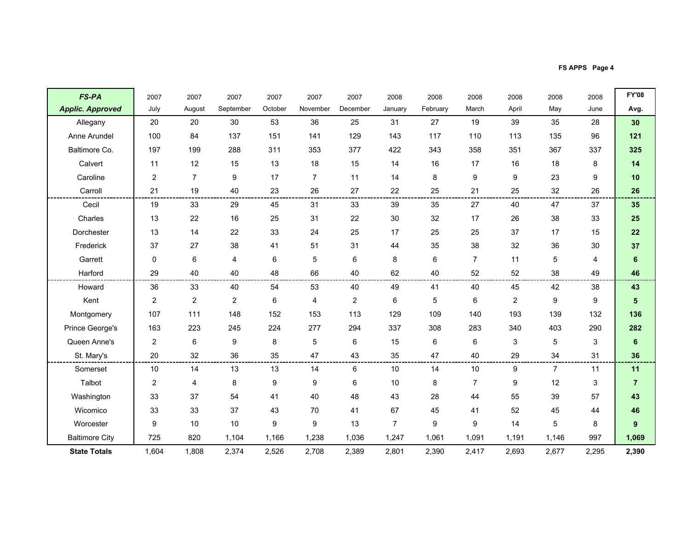FS APPS Page 4

| <b>FS-PA</b>            | 2007           | 2007             | 2007           | 2007    | 2007           | 2007           | 2008           | 2008     | 2008           | 2008           | 2008           | 2008           | <b>FY'08</b>    |
|-------------------------|----------------|------------------|----------------|---------|----------------|----------------|----------------|----------|----------------|----------------|----------------|----------------|-----------------|
| <b>Applic. Approved</b> | July           | August           | September      | October | November       | December       | January        | February | March          | April          | May            | June           | Avg.            |
| Allegany                | 20             | 20               | 30             | 53      | 36             | 25             | 31             | 27       | 19             | 39             | 35             | 28             | 30              |
| Anne Arundel            | 100            | 84               | 137            | 151     | 141            | 129            | 143            | 117      | 110            | 113            | 135            | 96             | 121             |
| Baltimore Co.           | 197            | 199              | 288            | 311     | 353            | 377            | 422            | 343      | 358            | 351            | 367            | 337            | 325             |
| Calvert                 | 11             | 12               | 15             | 13      | 18             | 15             | 14             | 16       | 17             | 16             | 18             | 8              | 14              |
| Caroline                | $\overline{2}$ | $\overline{7}$   | 9              | 17      | $\overline{7}$ | 11             | 14             | 8        | 9              | 9              | 23             | 9              | 10              |
| Carroll                 | 21             | 19               | 40             | 23      | 26             | 27             | 22             | 25       | 21             | 25             | 32             | 26             | 26              |
| Cecil                   | 19             | 33               | 29             | 45      | 31             | 33             | 39             | 35       | 27             | 40             | 47             | 37             | 35              |
| Charles                 | 13             | 22               | 16             | 25      | 31             | 22             | 30             | 32       | 17             | 26             | 38             | 33             | 25              |
| Dorchester              | 13             | 14               | 22             | 33      | 24             | 25             | 17             | 25       | 25             | 37             | 17             | 15             | 22              |
| Frederick               | 37             | 27               | 38             | 41      | 51             | 31             | 44             | 35       | 38             | 32             | 36             | 30             | 37              |
| Garrett                 | 0              | 6                | 4              | 6       | 5              | 6              | 8              | 6        | $\overline{7}$ | 11             | 5              | $\overline{4}$ | 6               |
| Harford                 | 29             | 40               | 40             | 48      | 66             | 40             | 62             | 40       | 52             | 52             | 38             | 49             | 46              |
| Howard                  | 36             | 33               | 40             | 54      | 53             | 40             | 49             | 41       | 40             | 45             | 42             | 38             | 43              |
| Kent                    | $\overline{2}$ | $\boldsymbol{2}$ | $\overline{c}$ | 6       | $\overline{4}$ | $\overline{2}$ | 6              | 5        | 6              | $\overline{2}$ | 9              | 9              | $5\phantom{.0}$ |
| Montgomery              | 107            | 111              | 148            | 152     | 153            | 113            | 129            | 109      | 140            | 193            | 139            | 132            | 136             |
| Prince George's         | 163            | 223              | 245            | 224     | 277            | 294            | 337            | 308      | 283            | 340            | 403            | 290            | 282             |
| Queen Anne's            | $\overline{2}$ | $\,6$            | 9              | 8       | 5              | 6              | 15             | 6        | 6              | 3              | 5              | 3              | $\bf 6$         |
| St. Mary's              | 20             | 32               | 36             | 35      | 47             | 43             | 35             | 47       | 40             | 29             | 34             | 31             | 36              |
| Somerset                | 10             | 14               | 13             | 13      | 14             | 6              | 10             | 14       | 10             | 9              | $\overline{7}$ | 11             | 11              |
| Talbot                  | $\overline{2}$ | 4                | 8              | 9       | 9              | 6              | 10             | 8        | $\overline{7}$ | 9              | 12             | 3              | $\overline{7}$  |
| Washington              | 33             | 37               | 54             | 41      | 40             | 48             | 43             | 28       | 44             | 55             | 39             | 57             | 43              |
| Wicomico                | 33             | 33               | 37             | 43      | 70             | 41             | 67             | 45       | 41             | 52             | 45             | 44             | 46              |
| Worcester               | 9              | 10               | 10             | 9       | 9              | 13             | $\overline{7}$ | 9        | 9              | 14             | 5              | 8              | 9               |
| <b>Baltimore City</b>   | 725            | 820              | 1,104          | 1,166   | 1,238          | 1,036          | 1,247          | 1,061    | 1,091          | 1,191          | 1,146          | 997            | 1,069           |
| <b>State Totals</b>     | 1,604          | 1,808            | 2,374          | 2,526   | 2,708          | 2,389          | 2,801          | 2,390    | 2,417          | 2,693          | 2,677          | 2,295          | 2,390           |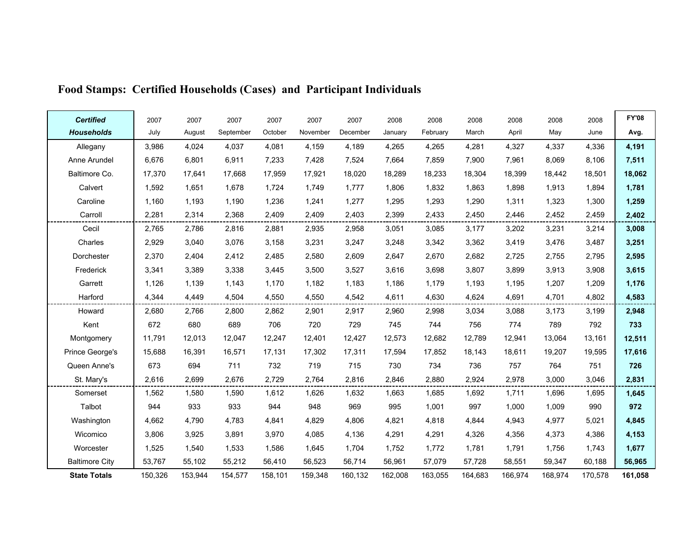| <b>Certified</b>      | 2007    | 2007    | 2007      | 2007    | 2007     | 2007     | 2008    | 2008     | 2008    | 2008    | 2008    | 2008    | <b>FY'08</b> |
|-----------------------|---------|---------|-----------|---------|----------|----------|---------|----------|---------|---------|---------|---------|--------------|
| <b>Households</b>     | July    | August  | September | October | November | December | January | February | March   | April   | May     | June    | Avg.         |
| Allegany              | 3,986   | 4,024   | 4,037     | 4,081   | 4,159    | 4,189    | 4,265   | 4,265    | 4,281   | 4,327   | 4,337   | 4,336   | 4,191        |
| Anne Arundel          | 6,676   | 6,801   | 6,911     | 7,233   | 7,428    | 7,524    | 7,664   | 7,859    | 7,900   | 7,961   | 8,069   | 8,106   | 7,511        |
| Baltimore Co.         | 17,370  | 17,641  | 17,668    | 17,959  | 17,921   | 18,020   | 18,289  | 18,233   | 18,304  | 18,399  | 18,442  | 18,501  | 18,062       |
| Calvert               | 1,592   | 1,651   | 1,678     | 1,724   | 1,749    | 1,777    | 1,806   | 1,832    | 1,863   | 1,898   | 1,913   | 1,894   | 1,781        |
| Caroline              | 1,160   | 1,193   | 1,190     | 1,236   | 1,241    | 1,277    | 1,295   | 1,293    | 1,290   | 1,311   | 1,323   | 1,300   | 1,259        |
| Carroll               | 2,281   | 2,314   | 2,368     | 2,409   | 2,409    | 2,403    | 2,399   | 2,433    | 2,450   | 2,446   | 2,452   | 2,459   | 2,402        |
| Cecil                 | 2,765   | 2,786   | 2,816     | 2,881   | 2,935    | 2,958    | 3,051   | 3,085    | 3,177   | 3,202   | 3,231   | 3,214   | 3,008        |
| Charles               | 2,929   | 3,040   | 3,076     | 3,158   | 3,231    | 3,247    | 3,248   | 3,342    | 3,362   | 3,419   | 3,476   | 3,487   | 3,251        |
| Dorchester            | 2,370   | 2,404   | 2,412     | 2,485   | 2,580    | 2,609    | 2,647   | 2,670    | 2,682   | 2,725   | 2,755   | 2,795   | 2,595        |
| Frederick             | 3,341   | 3,389   | 3,338     | 3,445   | 3,500    | 3,527    | 3,616   | 3,698    | 3,807   | 3,899   | 3,913   | 3,908   | 3,615        |
| Garrett               | 1,126   | 1,139   | 1,143     | 1,170   | 1,182    | 1,183    | 1,186   | 1,179    | 1,193   | 1,195   | 1,207   | 1,209   | 1,176        |
| Harford               | 4,344   | 4,449   | 4,504     | 4,550   | 4,550    | 4,542    | 4,611   | 4,630    | 4,624   | 4,691   | 4,701   | 4,802   | 4,583        |
| Howard                | 2,680   | 2,766   | 2,800     | 2,862   | 2,901    | 2,917    | 2,960   | 2,998    | 3,034   | 3,088   | 3,173   | 3,199   | 2,948        |
| Kent                  | 672     | 680     | 689       | 706     | 720      | 729      | 745     | 744      | 756     | 774     | 789     | 792     | 733          |
| Montgomery            | 11,791  | 12,013  | 12,047    | 12,247  | 12,401   | 12,427   | 12,573  | 12,682   | 12,789  | 12,941  | 13,064  | 13,161  | 12,511       |
| Prince George's       | 15,688  | 16,391  | 16,571    | 17,131  | 17,302   | 17,311   | 17,594  | 17,852   | 18,143  | 18,611  | 19,207  | 19,595  | 17,616       |
| Queen Anne's          | 673     | 694     | 711       | 732     | 719      | 715      | 730     | 734      | 736     | 757     | 764     | 751     | 726          |
| St. Mary's            | 2,616   | 2,699   | 2,676     | 2,729   | 2,764    | 2,816    | 2,846   | 2,880    | 2,924   | 2,978   | 3,000   | 3,046   | 2,831        |
| Somerset              | 1,562   | 1,580   | 1,590     | 1,612   | 1,626    | 1,632    | 1,663   | 1,685    | 1,692   | 1,711   | 1,696   | 1,695   | 1,645        |
| Talbot                | 944     | 933     | 933       | 944     | 948      | 969      | 995     | 1,001    | 997     | 1,000   | 1,009   | 990     | 972          |
| Washington            | 4,662   | 4,790   | 4,783     | 4,841   | 4,829    | 4,806    | 4,821   | 4,818    | 4,844   | 4,943   | 4,977   | 5,021   | 4,845        |
| Wicomico              | 3,806   | 3,925   | 3,891     | 3,970   | 4,085    | 4,136    | 4,291   | 4,291    | 4,326   | 4,356   | 4,373   | 4,386   | 4,153        |
| Worcester             | 1,525   | 1,540   | 1,533     | 1,586   | 1,645    | 1,704    | 1,752   | 1,772    | 1,781   | 1,791   | 1,756   | 1,743   | 1,677        |
| <b>Baltimore City</b> | 53,767  | 55,102  | 55,212    | 56,410  | 56,523   | 56,714   | 56,961  | 57,079   | 57,728  | 58,551  | 59,347  | 60,188  | 56,965       |
| <b>State Totals</b>   | 150,326 | 153,944 | 154,577   | 158,101 | 159,348  | 160,132  | 162,008 | 163,055  | 164,683 | 166,974 | 168,974 | 170,578 | 161,058      |

# Food Stamps: Certified Households (Cases) and Participant Individuals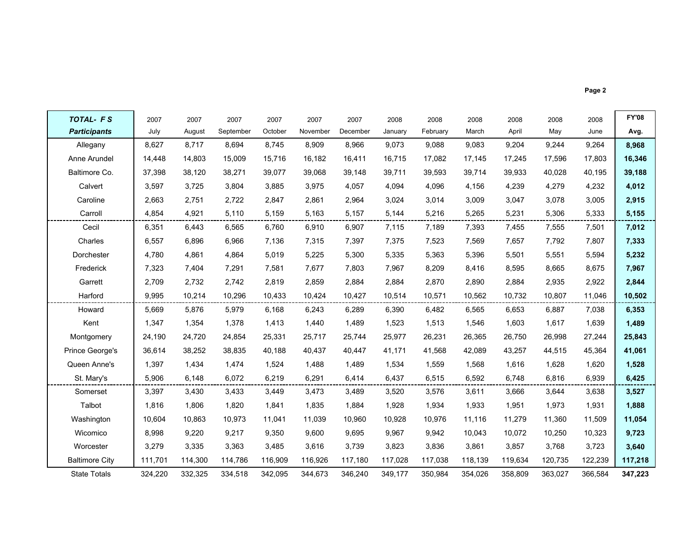|--|--|

| <b>TOTAL- FS</b>      | 2007    | 2007    | 2007      | 2007    | 2007     | 2007     | 2008    | 2008     | 2008    | 2008    | 2008    | 2008    | <b>FY'08</b> |
|-----------------------|---------|---------|-----------|---------|----------|----------|---------|----------|---------|---------|---------|---------|--------------|
| <b>Participants</b>   | July    | August  | September | October | November | December | January | February | March   | April   | May     | June    | Avg.         |
| Allegany              | 8,627   | 8,717   | 8,694     | 8,745   | 8,909    | 8,966    | 9,073   | 9,088    | 9,083   | 9,204   | 9,244   | 9,264   | 8,968        |
| Anne Arundel          | 14,448  | 14,803  | 15,009    | 15.716  | 16,182   | 16,411   | 16,715  | 17,082   | 17,145  | 17,245  | 17,596  | 17,803  | 16,346       |
| Baltimore Co.         | 37,398  | 38,120  | 38,271    | 39,077  | 39,068   | 39,148   | 39,711  | 39.593   | 39,714  | 39,933  | 40,028  | 40,195  | 39,188       |
| Calvert               | 3,597   | 3,725   | 3,804     | 3,885   | 3,975    | 4,057    | 4,094   | 4,096    | 4,156   | 4,239   | 4,279   | 4,232   | 4,012        |
| Caroline              | 2,663   | 2,751   | 2,722     | 2.847   | 2.861    | 2.964    | 3,024   | 3.014    | 3,009   | 3,047   | 3,078   | 3,005   | 2,915        |
| Carroll               | 4,854   | 4,921   | 5,110     | 5,159   | 5,163    | 5,157    | 5,144   | 5,216    | 5,265   | 5,231   | 5,306   | 5,333   | 5,155        |
| Cecil                 | 6,351   | 6,443   | 6,565     | 6,760   | 6,910    | 6,907    | 7,115   | 7,189    | 7,393   | 7,455   | 7,555   | 7,501   | 7,012        |
| Charles               | 6,557   | 6,896   | 6,966     | 7,136   | 7,315    | 7,397    | 7,375   | 7,523    | 7,569   | 7,657   | 7,792   | 7,807   | 7,333        |
| Dorchester            | 4,780   | 4,861   | 4,864     | 5,019   | 5,225    | 5,300    | 5,335   | 5,363    | 5,396   | 5,501   | 5,551   | 5,594   | 5,232        |
| Frederick             | 7,323   | 7.404   | 7.291     | 7.581   | 7.677    | 7.803    | 7,967   | 8.209    | 8,416   | 8.595   | 8,665   | 8,675   | 7,967        |
| Garrett               | 2,709   | 2,732   | 2,742     | 2,819   | 2,859    | 2,884    | 2,884   | 2,870    | 2,890   | 2,884   | 2,935   | 2,922   | 2,844        |
| Harford               | 9,995   | 10,214  | 10,296    | 10,433  | 10,424   | 10,427   | 10,514  | 10,571   | 10,562  | 10,732  | 10,807  | 11,046  | 10,502       |
| Howard                | 5,669   | 5,876   | 5,979     | 6,168   | 6,243    | 6,289    | 6,390   | 6,482    | 6,565   | 6,653   | 6,887   | 7,038   | 6,353        |
| Kent                  | 1,347   | 1,354   | 1,378     | 1,413   | 1,440    | 1,489    | 1,523   | 1,513    | 1,546   | 1,603   | 1,617   | 1,639   | 1,489        |
| Montgomery            | 24,190  | 24.720  | 24,854    | 25,331  | 25,717   | 25,744   | 25,977  | 26,231   | 26,365  | 26,750  | 26,998  | 27,244  | 25,843       |
| Prince George's       | 36,614  | 38,252  | 38,835    | 40,188  | 40,437   | 40,447   | 41,171  | 41,568   | 42,089  | 43,257  | 44,515  | 45,364  | 41,061       |
| Queen Anne's          | 1,397   | 1,434   | 1,474     | 1,524   | 1,488    | 1,489    | 1,534   | 1,559    | 1,568   | 1,616   | 1,628   | 1,620   | 1,528        |
| St. Mary's            | 5,906   | 6,148   | 6,072     | 6,219   | 6,291    | 6,414    | 6,437   | 6,515    | 6,592   | 6,748   | 6,816   | 6,939   | 6,425        |
| Somerset              | 3,397   | 3,430   | 3,433     | 3,449   | 3,473    | 3,489    | 3,520   | 3,576    | 3,611   | 3,666   | 3,644   | 3,638   | 3,527        |
| Talbot                | 1,816   | 1,806   | 1,820     | 1,841   | 1,835    | 1,884    | 1,928   | 1,934    | 1,933   | 1,951   | 1,973   | 1,931   | 1,888        |
| Washington            | 10,604  | 10,863  | 10,973    | 11,041  | 11,039   | 10,960   | 10,928  | 10,976   | 11,116  | 11,279  | 11,360  | 11,509  | 11,054       |
| Wicomico              | 8,998   | 9,220   | 9,217     | 9,350   | 9,600    | 9,695    | 9,967   | 9,942    | 10,043  | 10,072  | 10,250  | 10,323  | 9,723        |
| Worcester             | 3,279   | 3,335   | 3,363     | 3,485   | 3,616    | 3,739    | 3,823   | 3,836    | 3,861   | 3,857   | 3,768   | 3,723   | 3,640        |
| <b>Baltimore City</b> | 111,701 | 114,300 | 114,786   | 116,909 | 116,926  | 117,180  | 117,028 | 117,038  | 118,139 | 119,634 | 120,735 | 122,239 | 117,218      |
| <b>State Totals</b>   | 324,220 | 332,325 | 334,518   | 342,095 | 344,673  | 346,240  | 349,177 | 350,984  | 354,026 | 358,809 | 363,027 | 366,584 | 347,223      |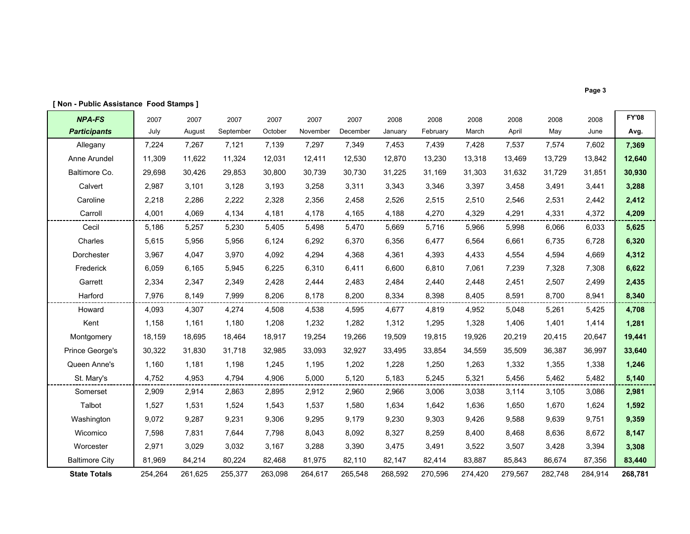| <b>NPA-FS</b>         | 2007    | 2007    | 2007      | 2007    | 2007     | 2007     | 2008    | 2008     | 2008    | 2008    | 2008    | 2008    | <b>FY'08</b> |
|-----------------------|---------|---------|-----------|---------|----------|----------|---------|----------|---------|---------|---------|---------|--------------|
| <b>Participants</b>   | July    | August  | September | October | November | December | January | February | March   | April   | May     | June    | Avg.         |
| Allegany              | 7,224   | 7,267   | 7,121     | 7.139   | 7,297    | 7.349    | 7,453   | 7.439    | 7,428   | 7,537   | 7,574   | 7,602   | 7,369        |
| Anne Arundel          | 11,309  | 11,622  | 11,324    | 12,031  | 12,411   | 12,530   | 12,870  | 13,230   | 13,318  | 13,469  | 13,729  | 13,842  | 12,640       |
| Baltimore Co.         | 29,698  | 30,426  | 29,853    | 30.800  | 30,739   | 30.730   | 31,225  | 31.169   | 31,303  | 31,632  | 31,729  | 31,851  | 30,930       |
| Calvert               | 2,987   | 3,101   | 3,128     | 3,193   | 3,258    | 3,311    | 3,343   | 3,346    | 3,397   | 3,458   | 3,491   | 3,441   | 3,288        |
| Caroline              | 2,218   | 2,286   | 2,222     | 2,328   | 2,356    | 2,458    | 2,526   | 2,515    | 2,510   | 2,546   | 2,531   | 2,442   | 2,412        |
| Carroll               | 4,001   | 4,069   | 4,134     | 4,181   | 4,178    | 4,165    | 4,188   | 4,270    | 4,329   | 4,291   | 4,331   | 4,372   | 4,209        |
| Cecil                 | 5,186   | 5,257   | 5,230     | 5,405   | 5,498    | 5,470    | 5,669   | 5,716    | 5,966   | 5,998   | 6,066   | 6,033   | 5,625        |
| Charles               | 5,615   | 5,956   | 5,956     | 6,124   | 6,292    | 6,370    | 6,356   | 6,477    | 6,564   | 6,661   | 6,735   | 6,728   | 6,320        |
| Dorchester            | 3,967   | 4,047   | 3,970     | 4,092   | 4,294    | 4,368    | 4,361   | 4,393    | 4,433   | 4,554   | 4,594   | 4,669   | 4,312        |
| Frederick             | 6,059   | 6,165   | 5,945     | 6,225   | 6,310    | 6,411    | 6,600   | 6,810    | 7,061   | 7,239   | 7,328   | 7,308   | 6,622        |
| Garrett               | 2,334   | 2,347   | 2,349     | 2,428   | 2,444    | 2,483    | 2,484   | 2,440    | 2,448   | 2,451   | 2,507   | 2,499   | 2,435        |
| Harford               | 7,976   | 8.149   | 7,999     | 8.206   | 8.178    | 8.200    | 8,334   | 8,398    | 8.405   | 8,591   | 8.700   | 8,941   | 8,340        |
| Howard                | 4,093   | 4,307   | 4,274     | 4,508   | 4,538    | 4,595    | 4,677   | 4.819    | 4,952   | 5,048   | 5,261   | 5,425   | 4,708        |
| Kent                  | 1,158   | 1,161   | 1,180     | 1,208   | 1,232    | 1,282    | 1,312   | 1,295    | 1,328   | 1,406   | 1,401   | 1,414   | 1,281        |
| Montgomery            | 18,159  | 18.695  | 18,464    | 18.917  | 19,254   | 19,266   | 19,509  | 19.815   | 19,926  | 20,219  | 20,415  | 20,647  | 19,441       |
| Prince George's       | 30,322  | 31,830  | 31,718    | 32,985  | 33,093   | 32,927   | 33,495  | 33,854   | 34,559  | 35,509  | 36,387  | 36,997  | 33,640       |
| Queen Anne's          | 1,160   | 1,181   | 1,198     | 1,245   | 1,195    | 1,202    | 1,228   | 1,250    | 1,263   | 1,332   | 1,355   | 1,338   | 1,246        |
| St. Mary's            | 4,752   | 4,953   | 4,794     | 4,906   | 5,000    | 5,120    | 5,183   | 5,245    | 5,321   | 5,456   | 5,462   | 5,482   | 5,140        |
| Somerset              | 2,909   | 2,914   | 2,863     | 2,895   | 2,912    | 2,960    | 2,966   | 3,006    | 3,038   | 3,114   | 3,105   | 3,086   | 2,981        |
| Talbot                | 1,527   | 1,531   | 1,524     | 1,543   | 1,537    | 1,580    | 1,634   | 1,642    | 1,636   | 1,650   | 1,670   | 1,624   | 1,592        |
| Washington            | 9,072   | 9,287   | 9,231     | 9,306   | 9,295    | 9,179    | 9,230   | 9,303    | 9,426   | 9,588   | 9,639   | 9,751   | 9,359        |
| Wicomico              | 7,598   | 7,831   | 7,644     | 7,798   | 8,043    | 8,092    | 8,327   | 8,259    | 8,400   | 8,468   | 8,636   | 8,672   | 8,147        |
| Worcester             | 2,971   | 3,029   | 3,032     | 3.167   | 3,288    | 3.390    | 3.475   | 3.491    | 3,522   | 3,507   | 3,428   | 3,394   | 3,308        |
| <b>Baltimore City</b> | 81,969  | 84,214  | 80,224    | 82,468  | 81,975   | 82,110   | 82,147  | 82,414   | 83,887  | 85,843  | 86,674  | 87,356  | 83,440       |
| <b>State Totals</b>   | 254,264 | 261,625 | 255,377   | 263,098 | 264,617  | 265,548  | 268,592 | 270,596  | 274,420 | 279,567 | 282,748 | 284,914 | 268,781      |

#### [ Non - Public Assistance Food Stamps ]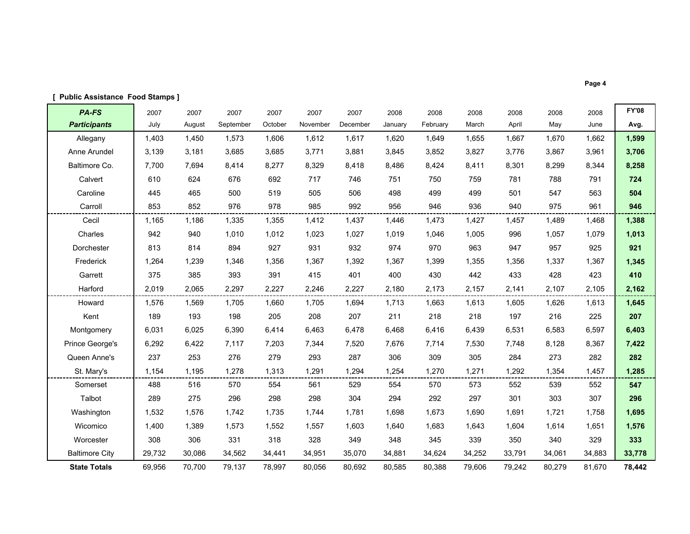| <b>Public Assistance Food Stamps ]</b> |        |        |           |         |          |          |         |          |        |        |        |        |              |
|----------------------------------------|--------|--------|-----------|---------|----------|----------|---------|----------|--------|--------|--------|--------|--------------|
| PA-FS                                  | 2007   | 2007   | 2007      | 2007    | 2007     | 2007     | 2008    | 2008     | 2008   | 2008   | 2008   | 2008   | <b>FY'08</b> |
| <b>Participants</b>                    | July   | August | September | October | November | December | January | February | March  | April  | May    | June   | Avg.         |
| Allegany                               | 1,403  | 1,450  | 1,573     | 1,606   | 1,612    | 1,617    | 1,620   | 1,649    | 1,655  | 1,667  | 1,670  | 1,662  | 1,599        |
| Anne Arundel                           | 3,139  | 3,181  | 3,685     | 3,685   | 3,771    | 3,881    | 3,845   | 3,852    | 3,827  | 3,776  | 3,867  | 3,961  | 3,706        |
| Baltimore Co.                          | 7,700  | 7,694  | 8,414     | 8,277   | 8,329    | 8,418    | 8,486   | 8,424    | 8,411  | 8,301  | 8,299  | 8,344  | 8,258        |
| Calvert                                | 610    | 624    | 676       | 692     | 717      | 746      | 751     | 750      | 759    | 781    | 788    | 791    | 724          |
| Caroline                               | 445    | 465    | 500       | 519     | 505      | 506      | 498     | 499      | 499    | 501    | 547    | 563    | 504          |
| Carroll                                | 853    | 852    | 976       | 978     | 985      | 992      | 956     | 946      | 936    | 940    | 975    | 961    | 946          |
| Cecil                                  | 1,165  | 1,186  | 1,335     | 1,355   | 1,412    | 1,437    | 1,446   | 1,473    | 1,427  | 1,457  | 1,489  | 1,468  | 1,388        |
| Charles                                | 942    | 940    | 1,010     | 1,012   | 1,023    | 1,027    | 1,019   | 1,046    | 1,005  | 996    | 1,057  | 1,079  | 1,013        |
| Dorchester                             | 813    | 814    | 894       | 927     | 931      | 932      | 974     | 970      | 963    | 947    | 957    | 925    | 921          |
| Frederick                              | 1,264  | 1,239  | 1,346     | 1,356   | 1,367    | 1,392    | 1,367   | 1,399    | 1,355  | 1,356  | 1,337  | 1,367  | 1,345        |
| Garrett                                | 375    | 385    | 393       | 391     | 415      | 401      | 400     | 430      | 442    | 433    | 428    | 423    | 410          |
| Harford                                | 2,019  | 2,065  | 2,297     | 2,227   | 2,246    | 2,227    | 2,180   | 2,173    | 2,157  | 2,141  | 2,107  | 2,105  | 2,162        |
| Howard                                 | 1,576  | 1,569  | 1,705     | 1,660   | 1,705    | 1,694    | 1,713   | 1,663    | 1,613  | 1,605  | 1,626  | 1,613  | 1,645        |
| Kent                                   | 189    | 193    | 198       | 205     | 208      | 207      | 211     | 218      | 218    | 197    | 216    | 225    | 207          |
| Montgomery                             | 6,031  | 6,025  | 6,390     | 6,414   | 6,463    | 6,478    | 6,468   | 6,416    | 6,439  | 6,531  | 6,583  | 6,597  | 6,403        |
| Prince George's                        | 6,292  | 6,422  | 7,117     | 7,203   | 7,344    | 7,520    | 7,676   | 7,714    | 7,530  | 7,748  | 8,128  | 8,367  | 7,422        |
| Queen Anne's                           | 237    | 253    | 276       | 279     | 293      | 287      | 306     | 309      | 305    | 284    | 273    | 282    | 282          |
| St. Mary's                             | 1,154  | 1,195  | 1,278     | 1,313   | 1,291    | 1,294    | 1,254   | 1,270    | 1,271  | 1,292  | 1,354  | 1,457  | 1,285        |
| Somerset                               | 488    | 516    | 570       | 554     | 561      | 529      | 554     | 570      | 573    | 552    | 539    | 552    | 547          |
| Talbot                                 | 289    | 275    | 296       | 298     | 298      | 304      | 294     | 292      | 297    | 301    | 303    | 307    | 296          |
| Washington                             | 1,532  | 1,576  | 1,742     | 1,735   | 1,744    | 1,781    | 1,698   | 1,673    | 1,690  | 1,691  | 1,721  | 1,758  | 1,695        |
| Wicomico                               | 1,400  | 1,389  | 1,573     | 1,552   | 1,557    | 1,603    | 1,640   | 1,683    | 1,643  | 1,604  | 1,614  | 1,651  | 1,576        |
| Worcester                              | 308    | 306    | 331       | 318     | 328      | 349      | 348     | 345      | 339    | 350    | 340    | 329    | 333          |
| <b>Baltimore City</b>                  | 29,732 | 30,086 | 34,562    | 34,441  | 34,951   | 35,070   | 34,881  | 34,624   | 34,252 | 33,791 | 34,061 | 34,883 | 33,778       |
| <b>State Totals</b>                    | 69,956 | 70,700 | 79,137    | 78,997  | 80,056   | 80,692   | 80,585  | 80,388   | 79,606 | 79,242 | 80,279 | 81,670 | 78,442       |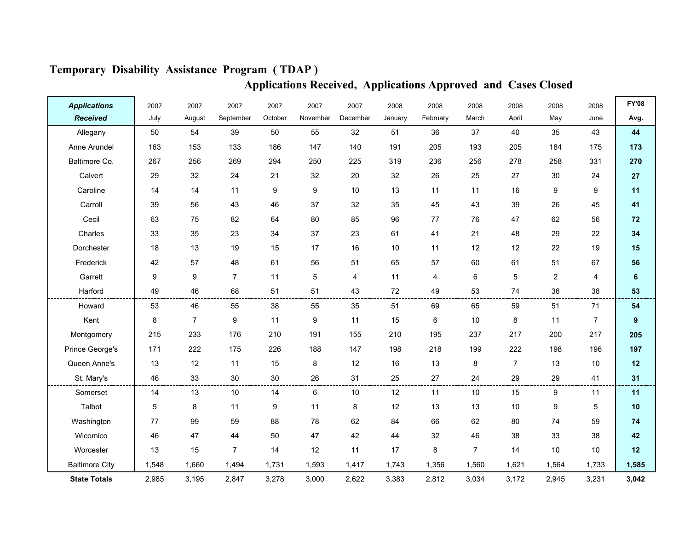| <b>Applications</b>   | 2007  | 2007           | 2007             | 2007    | 2007     | 2007     | 2008    | 2008     | 2008           | 2008           | 2008           | 2008           | <b>FY'08</b>     |
|-----------------------|-------|----------------|------------------|---------|----------|----------|---------|----------|----------------|----------------|----------------|----------------|------------------|
| <b>Received</b>       | July  | August         | September        | October | November | December | January | February | March          | April          | May            | June           | Avg.             |
| Allegany              | 50    | 54             | 39               | 50      | 55       | 32       | 51      | 36       | 37             | 40             | 35             | 43             | 44               |
| Anne Arundel          | 163   | 153            | 133              | 186     | 147      | 140      | 191     | 205      | 193            | 205            | 184            | 175            | 173              |
| Baltimore Co.         | 267   | 256            | 269              | 294     | 250      | 225      | 319     | 236      | 256            | 278            | 258            | 331            | 270              |
| Calvert               | 29    | 32             | 24               | 21      | 32       | 20       | 32      | 26       | 25             | 27             | 30             | 24             | 27               |
| Caroline              | 14    | 14             | 11               | 9       | 9        | 10       | 13      | 11       | 11             | 16             | 9              | 9              | 11               |
| Carroll               | 39    | 56             | 43               | 46      | 37       | 32       | 35      | 45       | 43             | 39             | 26             | 45             | 41               |
| Cecil                 | 63    | 75             | 82               | 64      | 80       | 85       | 96      | 77       | 76             | 47             | 62             | 56             | 72               |
| Charles               | 33    | 35             | 23               | 34      | 37       | 23       | 61      | 41       | 21             | 48             | 29             | 22             | 34               |
| Dorchester            | 18    | 13             | 19               | 15      | 17       | 16       | 10      | 11       | 12             | 12             | 22             | 19             | 15               |
| Frederick             | 42    | 57             | 48               | 61      | 56       | 51       | 65      | 57       | 60             | 61             | 51             | 67             | 56               |
| Garrett               | 9     | 9              | $\overline{7}$   | 11      | 5        | 4        | 11      | 4        | 6              | 5              | $\overline{c}$ | $\overline{4}$ | 6                |
| Harford               | 49    | 46             | 68               | 51      | 51       | 43       | 72      | 49       | 53             | 74             | 36             | 38             | 53               |
| Howard                | 53    | 46             | 55               | 38      | 55       | 35       | 51      | 69       | 65             | 59             | 51             | 71             | 54               |
| Kent                  | 8     | $\overline{7}$ | $\boldsymbol{9}$ | 11      | 9        | 11       | 15      | 6        | 10             | 8              | 11             | $\overline{7}$ | $\boldsymbol{9}$ |
| Montgomery            | 215   | 233            | 176              | 210     | 191      | 155      | 210     | 195      | 237            | 217            | 200            | 217            | 205              |
| Prince George's       | 171   | 222            | 175              | 226     | 188      | 147      | 198     | 218      | 199            | 222            | 198            | 196            | 197              |
| Queen Anne's          | 13    | 12             | 11               | 15      | 8        | 12       | 16      | 13       | 8              | $\overline{7}$ | 13             | 10             | 12               |
| St. Mary's            | 46    | 33             | 30               | $30\,$  | 26       | 31       | 25      | 27       | 24             | 29             | 29             | 41             | 31               |
| Somerset              | 14    | 13             | 10               | 14      | 6        | 10       | 12      | 11       | 10             | 15             | 9              | 11             | 11               |
| Talbot                | 5     | 8              | 11               | 9       | 11       | 8        | 12      | 13       | 13             | 10             | 9              | 5              | 10               |
| Washington            | 77    | 99             | 59               | 88      | 78       | 62       | 84      | 66       | 62             | 80             | 74             | 59             | 74               |
| Wicomico              | 46    | 47             | 44               | 50      | 47       | 42       | 44      | 32       | 46             | 38             | 33             | 38             | 42               |
| Worcester             | 13    | 15             | $\overline{7}$   | 14      | 12       | 11       | 17      | 8        | $\overline{7}$ | 14             | 10             | 10             | 12               |
| <b>Baltimore City</b> | 1,548 | 1,660          | 1,494            | 1,731   | 1,593    | 1,417    | 1,743   | 1,356    | 1,560          | 1,621          | 1,564          | 1,733          | 1,585            |
| <b>State Totals</b>   | 2,985 | 3,195          | 2,847            | 3,278   | 3,000    | 2,622    | 3,383   | 2,812    | 3,034          | 3,172          | 2,945          | 3,231          | 3,042            |

### Temporary Disability Assistance Program ( TDAP )

Applications Received, Applications Approved and Cases Closed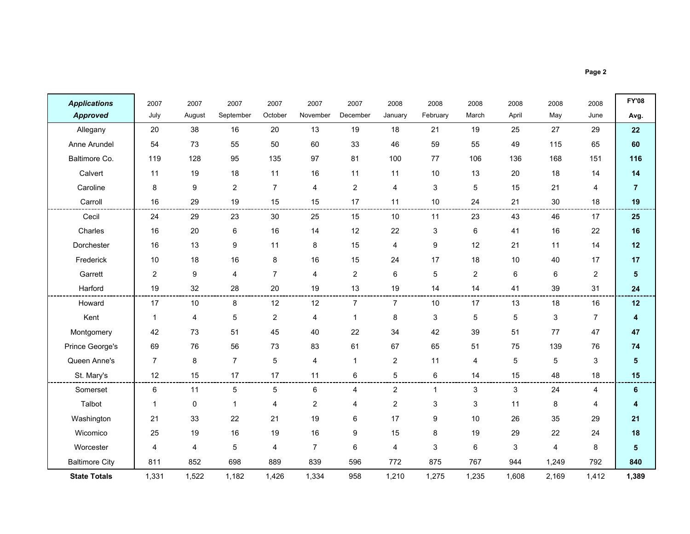$\blacksquare$ 

۰.

| <b>Applications</b>   | 2007           | 2007    | 2007             | 2007                    | 2007           | 2007           | 2008           | 2008         | 2008           | 2008  | 2008  | 2008           | <b>FY'08</b>   |
|-----------------------|----------------|---------|------------------|-------------------------|----------------|----------------|----------------|--------------|----------------|-------|-------|----------------|----------------|
| <b>Approved</b>       | July           | August  | September        | October                 | November       | December       | January        | February     | March          | April | May   | June           | Avg.           |
| Allegany              | 20             | 38      | 16               | 20                      | 13             | 19             | 18             | 21           | 19             | 25    | 27    | 29             | 22             |
| Anne Arundel          | 54             | 73      | 55               | 50                      | 60             | 33             | 46             | 59           | 55             | 49    | 115   | 65             | 60             |
| Baltimore Co.         | 119            | 128     | 95               | 135                     | 97             | 81             | 100            | 77           | 106            | 136   | 168   | 151            | 116            |
| Calvert               | 11             | 19      | 18               | 11                      | 16             | 11             | 11             | 10           | 13             | 20    | 18    | 14             | 14             |
| Caroline              | 8              | 9       | $\overline{2}$   | $\overline{7}$          | 4              | $\overline{c}$ | 4              | 3            | 5              | 15    | 21    | 4              | $\overline{7}$ |
| Carroll               | 16             | 29      | 19               | 15                      | 15             | 17             | 11             | 10           | 24             | 21    | 30    | 18             | 19             |
| Cecil                 | 24             | 29      | 23               | 30                      | 25             | 15             | 10             | 11           | 23             | 43    | 46    | 17             | 25             |
| Charles               | 16             | $20\,$  | 6                | $16\,$                  | 14             | 12             | 22             | 3            | 6              | 41    | 16    | 22             | 16             |
| Dorchester            | 16             | 13      | $\boldsymbol{9}$ | 11                      | 8              | 15             | 4              | 9            | 12             | 21    | 11    | 14             | 12             |
| Frederick             | 10             | 18      | 16               | 8                       | 16             | 15             | 24             | 17           | 18             | 10    | 40    | 17             | 17             |
| Garrett               | $\overline{2}$ | 9       | $\overline{4}$   | $\overline{7}$          | $\overline{4}$ | $\overline{2}$ | 6              | 5            | $\overline{2}$ | 6     | 6     | $\overline{2}$ | $5\phantom{1}$ |
| Harford               | 19             | 32      | 28               | 20                      | 19             | 13             | 19             | 14           | 14             | 41    | 39    | 31             | 24             |
| Howard                | 17             | 10      | 8                | 12                      | 12             | $\overline{7}$ | $\overline{7}$ | 10           | 17             | 13    | 18    | 16             | 12             |
| Kent                  | $\mathbf{1}$   | 4       | 5                | $\overline{\mathbf{c}}$ | 4              | $\mathbf{1}$   | 8              | 3            | $\overline{5}$ | 5     | 3     | $\overline{7}$ | 4              |
| Montgomery            | 42             | 73      | 51               | 45                      | 40             | 22             | 34             | 42           | 39             | 51    | 77    | 47             | 47             |
| Prince George's       | 69             | 76      | 56               | 73                      | 83             | 61             | 67             | 65           | 51             | 75    | 139   | 76             | 74             |
| Queen Anne's          | $\overline{7}$ | $\,8\,$ | $\overline{7}$   | 5                       | $\overline{4}$ | 1              | $\overline{c}$ | 11           | 4              | 5     | 5     | $\mathbf{3}$   | ${\bf 5}$      |
| St. Mary's            | 12             | 15      | 17               | 17                      | 11             | 6              | 5              | 6            | 14             | 15    | 48    | 18             | 15             |
| Somerset              | 6              | 11      | 5                | 5                       | 6              | 4              | $\overline{2}$ | $\mathbf{1}$ | 3              | 3     | 24    | 4              | 6              |
| Talbot                | 1              | 0       | 1                | 4                       | $\overline{2}$ | 4              | $\overline{2}$ | 3            | 3              | 11    | 8     | 4              | 4              |
| Washington            | 21             | 33      | 22               | 21                      | 19             | 6              | 17             | 9            | 10             | 26    | 35    | 29             | 21             |
| Wicomico              | 25             | 19      | 16               | 19                      | 16             | 9              | 15             | 8            | 19             | 29    | 22    | 24             | 18             |
| Worcester             | 4              | 4       | 5                | 4                       | $\overline{7}$ | 6              | 4              | 3            | 6              | 3     | 4     | 8              | 5              |
| <b>Baltimore City</b> | 811            | 852     | 698              | 889                     | 839            | 596            | 772            | 875          | 767            | 944   | 1,249 | 792            | 840            |
| <b>State Totals</b>   | 1,331          | 1,522   | 1,182            | 1,426                   | 1,334          | 958            | 1,210          | 1,275        | 1,235          | 1,608 | 2,169 | 1,412          | 1,389          |

r.

-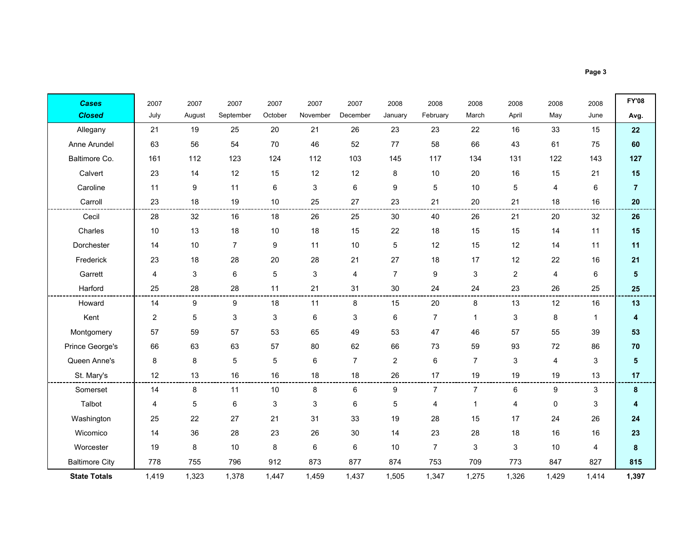| <b>Cases</b>          | 2007           | 2007        | 2007           | 2007       | 2007     | 2007           | 2008           | 2008           | 2008           | 2008           | 2008  | 2008           | <b>FY'08</b>            |
|-----------------------|----------------|-------------|----------------|------------|----------|----------------|----------------|----------------|----------------|----------------|-------|----------------|-------------------------|
| <b>Closed</b>         | July           | August      | September      | October    | November | December       | January        | February       | March          | April          | May   | June           | Avg.                    |
| Allegany              | 21             | 19          | 25             | 20         | 21       | 26             | 23             | 23             | 22             | 16             | 33    | 15             | 22                      |
| Anne Arundel          | 63             | 56          | 54             | 70         | 46       | 52             | 77             | 58             | 66             | 43             | 61    | 75             | 60                      |
| Baltimore Co.         | 161            | 112         | 123            | 124        | 112      | 103            | 145            | 117            | 134            | 131            | 122   | 143            | 127                     |
| Calvert               | 23             | 14          | 12             | 15         | 12       | 12             | 8              | 10             | 20             | 16             | 15    | 21             | 15                      |
| Caroline              | 11             | 9           | 11             | 6          | 3        | 6              | 9              | 5              | 10             | 5              | 4     | 6              | $\overline{7}$          |
| Carroll               | 23             | 18          | 19             | $10$       | 25       | 27             | 23             | 21             | 20             | 21             | 18    | 16             | 20                      |
| Cecil                 | 28             | 32          | 16             | 18         | 26       | 25             | 30             | 40             | 26             | 21             | 20    | 32             | 26                      |
| Charles               | 10             | 13          | 18             | $10$       | 18       | 15             | 22             | 18             | 15             | 15             | 14    | 11             | 15                      |
| Dorchester            | 14             | 10          | $\overline{7}$ | 9          | 11       | 10             | 5              | 12             | 15             | 12             | 14    | 11             | 11                      |
| Frederick             | 23             | 18          | 28             | 20         | 28       | 21             | 27             | 18             | 17             | 12             | 22    | 16             | 21                      |
| Garrett               | $\overline{4}$ | 3           | 6              | $\sqrt{5}$ | 3        | 4              | $\overline{7}$ | 9              | $\mathsf 3$    | $\overline{2}$ | 4     | 6              | $\overline{\mathbf{5}}$ |
| Harford               | 25             | 28          | 28             | 11         | 21       | 31             | 30             | 24             | 24             | 23             | 26    | 25             | 25                      |
| Howard                | 14             | 9           | 9              | 18         | 11       | 8              | 15             | 20             | 8              | 13             | 12    | 16             | 13                      |
| Kent                  | $\overline{2}$ | $\mathbf 5$ | 3              | 3          | 6        | 3              | 6              | $\overline{7}$ | $\overline{1}$ | 3              | 8     | $\mathbf{1}$   | 4                       |
| Montgomery            | 57             | 59          | 57             | 53         | 65       | 49             | 53             | 47             | 46             | 57             | 55    | 39             | 53                      |
| Prince George's       | 66             | 63          | 63             | 57         | 80       | 62             | 66             | 73             | 59             | 93             | 72    | 86             | 70                      |
| Queen Anne's          | 8              | 8           | 5              | 5          | 6        | $\overline{7}$ | $\overline{2}$ | 6              | $\overline{7}$ | 3              | 4     | 3              | $\overline{\mathbf{5}}$ |
| St. Mary's            | 12             | 13          | 16             | 16         | 18       | 18             | 26             | 17             | 19             | 19             | 19    | 13             | 17                      |
| Somerset              | 14             | 8           | 11             | $10$       | 8        | 6              | 9              | $\overline{7}$ | $\overline{7}$ | 6              | 9     | 3              | 8                       |
| Talbot                | 4              | 5           | 6              | 3          | 3        | 6              | 5              | 4              | $\mathbf{1}$   | 4              | 0     | 3              | 4                       |
| Washington            | 25             | 22          | 27             | 21         | 31       | 33             | 19             | 28             | 15             | 17             | 24    | 26             | 24                      |
| Wicomico              | 14             | 36          | 28             | 23         | 26       | 30             | 14             | 23             | 28             | 18             | 16    | 16             | 23                      |
| Worcester             | 19             | 8           | 10             | 8          | 6        | 6              | 10             | $\overline{7}$ | 3              | 3              | 10    | $\overline{4}$ | 8                       |
| <b>Baltimore City</b> | 778            | 755         | 796            | 912        | 873      | 877            | 874            | 753            | 709            | 773            | 847   | 827            | 815                     |
| <b>State Totals</b>   | 1,419          | 1,323       | 1,378          | 1,447      | 1,459    | 1,437          | 1,505          | 1,347          | 1,275          | 1,326          | 1,429 | 1,414          | 1,397                   |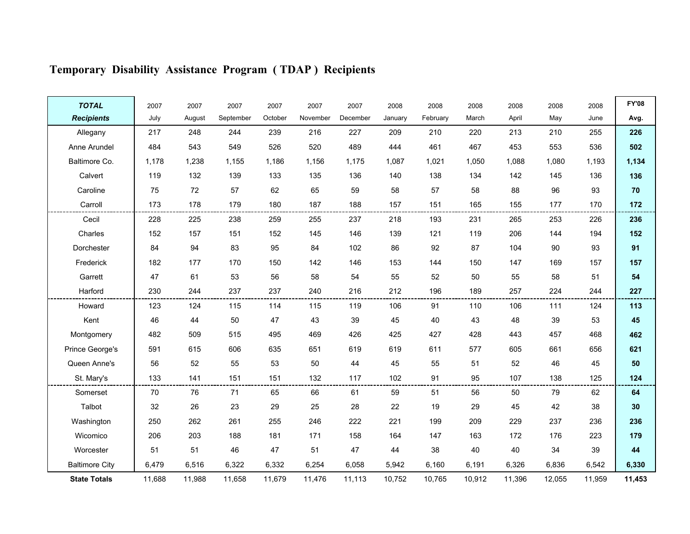| <b>TOTAL</b>          | 2007   | 2007   | 2007      | 2007    | 2007     | 2007     | 2008    | 2008     | 2008   | 2008   | 2008   | 2008   | <b>FY'08</b> |
|-----------------------|--------|--------|-----------|---------|----------|----------|---------|----------|--------|--------|--------|--------|--------------|
| <b>Recipients</b>     | July   | August | September | October | November | December | January | February | March  | April  | May    | June   | Avg.         |
| Allegany              | 217    | 248    | 244       | 239     | 216      | 227      | 209     | 210      | 220    | 213    | 210    | 255    | 226          |
| Anne Arundel          | 484    | 543    | 549       | 526     | 520      | 489      | 444     | 461      | 467    | 453    | 553    | 536    | 502          |
| Baltimore Co.         | 1,178  | 1,238  | 1,155     | 1.186   | 1.156    | 1.175    | 1.087   | 1,021    | 1,050  | 1.088  | 1,080  | 1,193  | 1,134        |
| Calvert               | 119    | 132    | 139       | 133     | 135      | 136      | 140     | 138      | 134    | 142    | 145    | 136    | 136          |
| Caroline              | 75     | 72     | 57        | 62      | 65       | 59       | 58      | 57       | 58     | 88     | 96     | 93     | 70           |
| Carroll               | 173    | 178    | 179       | 180     | 187      | 188      | 157     | 151      | 165    | 155    | 177    | 170    | 172          |
| Cecil                 | 228    | 225    | 238       | 259     | 255      | 237      | 218     | 193      | 231    | 265    | 253    | 226    | 236          |
| Charles               | 152    | 157    | 151       | 152     | 145      | 146      | 139     | 121      | 119    | 206    | 144    | 194    | 152          |
| Dorchester            | 84     | 94     | 83        | 95      | 84       | 102      | 86      | 92       | 87     | 104    | 90     | 93     | 91           |
| Frederick             | 182    | 177    | 170       | 150     | 142      | 146      | 153     | 144      | 150    | 147    | 169    | 157    | 157          |
| Garrett               | 47     | 61     | 53        | 56      | 58       | 54       | 55      | 52       | 50     | 55     | 58     | 51     | 54           |
| Harford               | 230    | 244    | 237       | 237     | 240      | 216      | 212     | 196      | 189    | 257    | 224    | 244    | 227          |
| Howard                | 123    | 124    | 115       | 114     | 115      | 119      | 106     | 91       | 110    | 106    | 111    | 124    | 113          |
| Kent                  | 46     | 44     | 50        | 47      | 43       | 39       | 45      | 40       | 43     | 48     | 39     | 53     | 45           |
| Montgomery            | 482    | 509    | 515       | 495     | 469      | 426      | 425     | 427      | 428    | 443    | 457    | 468    | 462          |
| Prince George's       | 591    | 615    | 606       | 635     | 651      | 619      | 619     | 611      | 577    | 605    | 661    | 656    | 621          |
| Queen Anne's          | 56     | 52     | 55        | 53      | 50       | 44       | 45      | 55       | 51     | 52     | 46     | 45     | 50           |
| St. Mary's            | 133    | 141    | 151       | 151     | 132      | 117      | 102     | 91       | 95     | 107    | 138    | 125    | 124          |
| Somerset              | 70     | 76     | 71        | 65      | 66       | 61       | 59      | 51       | 56     | 50     | 79     | 62     | 64           |
| Talbot                | 32     | 26     | 23        | 29      | 25       | 28       | 22      | 19       | 29     | 45     | 42     | 38     | 30           |
| Washington            | 250    | 262    | 261       | 255     | 246      | 222      | 221     | 199      | 209    | 229    | 237    | 236    | 236          |
| Wicomico              | 206    | 203    | 188       | 181     | 171      | 158      | 164     | 147      | 163    | 172    | 176    | 223    | 179          |
| Worcester             | 51     | 51     | 46        | 47      | 51       | 47       | 44      | 38       | 40     | 40     | 34     | 39     | 44           |
| <b>Baltimore City</b> | 6,479  | 6,516  | 6,322     | 6,332   | 6,254    | 6,058    | 5,942   | 6.160    | 6,191  | 6,326  | 6,836  | 6,542  | 6,330        |
| <b>State Totals</b>   | 11,688 | 11,988 | 11,658    | 11,679  | 11,476   | 11,113   | 10,752  | 10,765   | 10,912 | 11,396 | 12,055 | 11,959 | 11,453       |

# Temporary Disability Assistance Program ( TDAP ) Recipients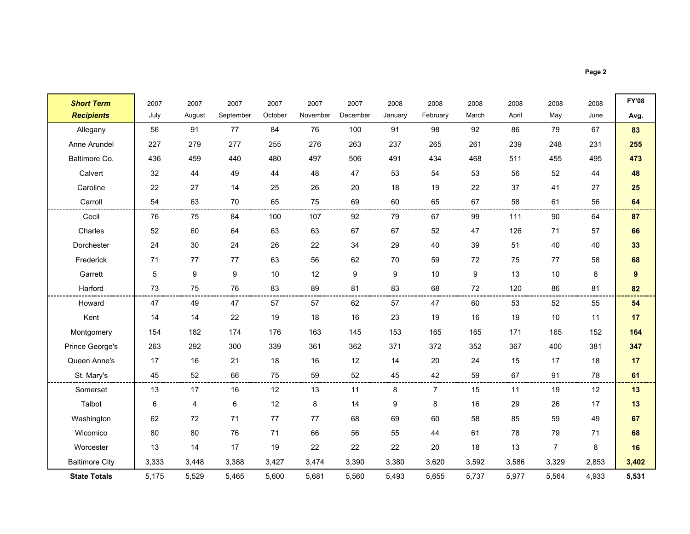÷.

| <b>Short Term</b>     | 2007  | 2007   | 2007      | 2007    | 2007     | 2007     | 2008    | 2008           | 2008  | 2008  | 2008           | 2008  | <b>FY'08</b> |
|-----------------------|-------|--------|-----------|---------|----------|----------|---------|----------------|-------|-------|----------------|-------|--------------|
| <b>Recipients</b>     | July  | August | September | October | November | December | January | February       | March | April | May            | June  | Avg.         |
| Allegany              | 56    | 91     | 77        | 84      | 76       | 100      | 91      | 98             | 92    | 86    | 79             | 67    | 83           |
| Anne Arundel          | 227   | 279    | 277       | 255     | 276      | 263      | 237     | 265            | 261   | 239   | 248            | 231   | 255          |
| Baltimore Co.         | 436   | 459    | 440       | 480     | 497      | 506      | 491     | 434            | 468   | 511   | 455            | 495   | 473          |
| Calvert               | 32    | 44     | 49        | 44      | 48       | 47       | 53      | 54             | 53    | 56    | 52             | 44    | 48           |
| Caroline              | 22    | 27     | 14        | 25      | 26       | 20       | 18      | 19             | 22    | 37    | 41             | 27    | 25           |
| Carroll               | 54    | 63     | 70        | 65      | 75       | 69       | 60      | 65             | 67    | 58    | 61             | 56    | 64           |
| Cecil                 | 76    | 75     | 84        | 100     | 107      | 92       | 79      | 67             | 99    | 111   | 90             | 64    | 87           |
| Charles               | 52    | 60     | 64        | 63      | 63       | 67       | 67      | 52             | 47    | 126   | 71             | 57    | 66           |
| Dorchester            | 24    | 30     | 24        | 26      | 22       | 34       | 29      | 40             | 39    | 51    | 40             | 40    | 33           |
| Frederick             | 71    | 77     | 77        | 63      | 56       | 62       | 70      | 59             | 72    | 75    | 77             | 58    | 68           |
| Garrett               | 5     | 9      | 9         | 10      | 12       | 9        | 9       | 10             | 9     | 13    | 10             | 8     | 9            |
| Harford               | 73    | 75     | 76        | 83      | 89       | 81       | 83      | 68             | 72    | 120   | 86             | 81    | 82           |
| Howard                | 47    | 49     | 47        | 57      | 57       | 62       | 57      | 47             | 60    | 53    | 52             | 55    | 54           |
| Kent                  | 14    | 14     | 22        | 19      | 18       | 16       | 23      | 19             | 16    | 19    | 10             | 11    | 17           |
| Montgomery            | 154   | 182    | 174       | 176     | 163      | 145      | 153     | 165            | 165   | 171   | 165            | 152   | 164          |
| Prince George's       | 263   | 292    | 300       | 339     | 361      | 362      | 371     | 372            | 352   | 367   | 400            | 381   | 347          |
| Queen Anne's          | 17    | 16     | 21        | 18      | 16       | 12       | 14      | 20             | 24    | 15    | 17             | 18    | 17           |
| St. Mary's            | 45    | 52     | 66        | 75      | 59       | 52       | 45      | 42             | 59    | 67    | 91             | 78    | 61           |
| Somerset              | 13    | 17     | 16        | 12      | 13       | 11       | 8       | $\overline{7}$ | 15    | 11    | 19             | 12    | 13           |
| Talbot                | 6     | 4      | 6         | 12      | 8        | 14       | 9       | 8              | 16    | 29    | 26             | 17    | 13           |
| Washington            | 62    | 72     | 71        | $77\,$  | 77       | 68       | 69      | 60             | 58    | 85    | 59             | 49    | 67           |
| Wicomico              | 80    | 80     | 76        | 71      | 66       | 56       | 55      | 44             | 61    | 78    | 79             | 71    | 68           |
| Worcester             | 13    | 14     | 17        | 19      | 22       | 22       | 22      | 20             | 18    | 13    | $\overline{7}$ | 8     | 16           |
| <b>Baltimore City</b> | 3,333 | 3,448  | 3,388     | 3,427   | 3,474    | 3,390    | 3,380   | 3,620          | 3,592 | 3,586 | 3,329          | 2,853 | 3,402        |
| <b>State Totals</b>   | 5,175 | 5,529  | 5,465     | 5,600   | 5,681    | 5,560    | 5,493   | 5,655          | 5,737 | 5,977 | 5,564          | 4,933 | 5,531        |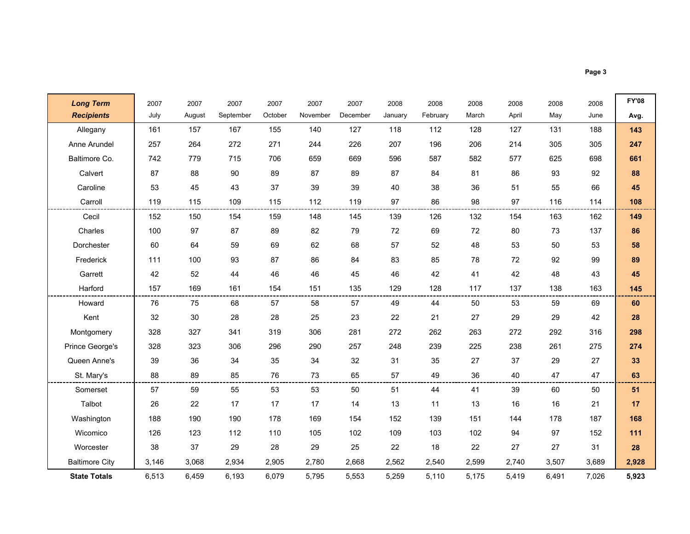$\blacksquare$ 

۰

| <b>Long Term</b>      | 2007  | 2007   | 2007      | 2007    | 2007     | 2007     | 2008    | 2008     | 2008  | 2008  | 2008  | 2008  | <b>FY'08</b> |
|-----------------------|-------|--------|-----------|---------|----------|----------|---------|----------|-------|-------|-------|-------|--------------|
| <b>Recipients</b>     | July  | August | September | October | November | December | January | February | March | April | May   | June  | Avg.         |
| Allegany              | 161   | 157    | 167       | 155     | 140      | 127      | 118     | 112      | 128   | 127   | 131   | 188   | 143          |
| Anne Arundel          | 257   | 264    | 272       | 271     | 244      | 226      | 207     | 196      | 206   | 214   | 305   | 305   | 247          |
| Baltimore Co.         | 742   | 779    | 715       | 706     | 659      | 669      | 596     | 587      | 582   | 577   | 625   | 698   | 661          |
| Calvert               | 87    | 88     | 90        | 89      | 87       | 89       | 87      | 84       | 81    | 86    | 93    | 92    | 88           |
| Caroline              | 53    | 45     | 43        | 37      | 39       | 39       | 40      | 38       | 36    | 51    | 55    | 66    | 45           |
| Carroll               | 119   | 115    | 109       | 115     | 112      | 119      | 97      | 86       | 98    | 97    | 116   | 114   | 108          |
| Cecil                 | 152   | 150    | 154       | 159     | 148      | 145      | 139     | 126      | 132   | 154   | 163   | 162   | 149          |
| Charles               | 100   | 97     | 87        | 89      | 82       | 79       | 72      | 69       | 72    | 80    | 73    | 137   | 86           |
| Dorchester            | 60    | 64     | 59        | 69      | 62       | 68       | 57      | 52       | 48    | 53    | 50    | 53    | 58           |
| Frederick             | 111   | 100    | 93        | 87      | 86       | 84       | 83      | 85       | 78    | 72    | 92    | 99    | 89           |
| Garrett               | 42    | 52     | 44        | 46      | 46       | 45       | 46      | 42       | 41    | 42    | 48    | 43    | 45           |
| Harford               | 157   | 169    | 161       | 154     | 151      | 135      | 129     | 128      | 117   | 137   | 138   | 163   | 145          |
| Howard                | 76    | 75     | 68        | 57      | 58       | 57       | 49      | 44       | 50    | 53    | 59    | 69    | 60           |
| Kent                  | 32    | 30     | 28        | 28      | 25       | 23       | 22      | 21       | 27    | 29    | 29    | 42    | 28           |
| Montgomery            | 328   | 327    | 341       | 319     | 306      | 281      | 272     | 262      | 263   | 272   | 292   | 316   | 298          |
| Prince George's       | 328   | 323    | 306       | 296     | 290      | 257      | 248     | 239      | 225   | 238   | 261   | 275   | 274          |
| Queen Anne's          | 39    | 36     | 34        | 35      | 34       | 32       | 31      | 35       | 27    | 37    | 29    | 27    | 33           |
| St. Mary's            | 88    | 89     | 85        | 76      | 73       | 65       | 57      | 49       | 36    | 40    | 47    | 47    | 63           |
| Somerset              | 57    | 59     | 55        | 53      | 53       | 50       | 51      | 44       | 41    | 39    | 60    | 50    | 51           |
| Talbot                | 26    | 22     | 17        | 17      | 17       | 14       | 13      | 11       | 13    | 16    | 16    | 21    | 17           |
| Washington            | 188   | 190    | 190       | 178     | 169      | 154      | 152     | 139      | 151   | 144   | 178   | 187   | 168          |
| Wicomico              | 126   | 123    | 112       | 110     | 105      | 102      | 109     | 103      | 102   | 94    | 97    | 152   | 111          |
| Worcester             | 38    | 37     | 29        | 28      | 29       | 25       | 22      | 18       | 22    | 27    | 27    | 31    | 28           |
| <b>Baltimore City</b> | 3,146 | 3,068  | 2,934     | 2,905   | 2,780    | 2.668    | 2,562   | 2,540    | 2,599 | 2,740 | 3,507 | 3,689 | 2,928        |
| <b>State Totals</b>   | 6,513 | 6,459  | 6,193     | 6,079   | 5,795    | 5,553    | 5,259   | 5,110    | 5,175 | 5,419 | 6,491 | 7,026 | 5,923        |

 $\mathbf{r}$ 

 $\overline{\phantom{a}}$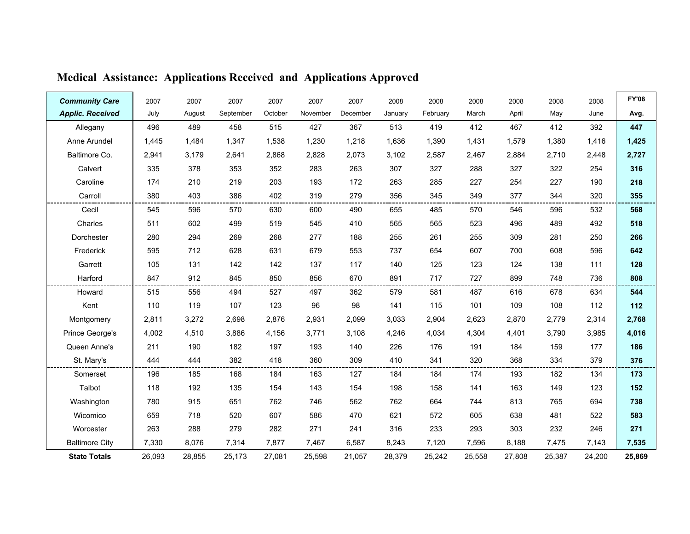| <b>Community Care</b>   | 2007   | 2007   | 2007      | 2007    | 2007     | 2007     | 2008    | 2008     | 2008   | 2008   | 2008   | 2008   | <b>FY'08</b> |
|-------------------------|--------|--------|-----------|---------|----------|----------|---------|----------|--------|--------|--------|--------|--------------|
| <b>Applic. Received</b> | July   | August | September | October | November | December | January | February | March  | April  | May    | June   | Avg.         |
| Allegany                | 496    | 489    | 458       | 515     | 427      | 367      | 513     | 419      | 412    | 467    | 412    | 392    | 447          |
| Anne Arundel            | 1,445  | 1,484  | 1,347     | 1,538   | 1,230    | 1,218    | 1,636   | 1,390    | 1,431  | 1,579  | 1,380  | 1,416  | 1,425        |
| Baltimore Co.           | 2,941  | 3,179  | 2,641     | 2,868   | 2,828    | 2,073    | 3.102   | 2.587    | 2,467  | 2,884  | 2,710  | 2,448  | 2,727        |
| Calvert                 | 335    | 378    | 353       | 352     | 283      | 263      | 307     | 327      | 288    | 327    | 322    | 254    | 316          |
| Caroline                | 174    | 210    | 219       | 203     | 193      | 172      | 263     | 285      | 227    | 254    | 227    | 190    | 218          |
| Carroll                 | 380    | 403    | 386       | 402     | 319      | 279      | 356     | 345      | 349    | 377    | 344    | 320    | 355          |
| Cecil                   | 545    | 596    | 570       | 630     | 600      | 490      | 655     | 485      | 570    | 546    | 596    | 532    | 568          |
| Charles                 | 511    | 602    | 499       | 519     | 545      | 410      | 565     | 565      | 523    | 496    | 489    | 492    | 518          |
| Dorchester              | 280    | 294    | 269       | 268     | 277      | 188      | 255     | 261      | 255    | 309    | 281    | 250    | 266          |
| Frederick               | 595    | 712    | 628       | 631     | 679      | 553      | 737     | 654      | 607    | 700    | 608    | 596    | 642          |
| Garrett                 | 105    | 131    | 142       | 142     | 137      | 117      | 140     | 125      | 123    | 124    | 138    | 111    | 128          |
| Harford                 | 847    | 912    | 845       | 850     | 856      | 670      | 891     | 717      | 727    | 899    | 748    | 736    | 808          |
| Howard                  | 515    | 556    | 494       | 527     | 497      | 362      | 579     | 581      | 487    | 616    | 678    | 634    | 544          |
| Kent                    | 110    | 119    | 107       | 123     | 96       | 98       | 141     | 115      | 101    | 109    | 108    | 112    | 112          |
| Montgomery              | 2,811  | 3,272  | 2,698     | 2,876   | 2,931    | 2,099    | 3.033   | 2,904    | 2,623  | 2,870  | 2,779  | 2,314  | 2,768        |
| Prince George's         | 4,002  | 4,510  | 3,886     | 4,156   | 3,771    | 3,108    | 4,246   | 4,034    | 4,304  | 4,401  | 3,790  | 3,985  | 4,016        |
| Queen Anne's            | 211    | 190    | 182       | 197     | 193      | 140      | 226     | 176      | 191    | 184    | 159    | 177    | 186          |
| St. Mary's              | 444    | 444    | 382       | 418     | 360      | 309      | 410     | 341      | 320    | 368    | 334    | 379    | 376          |
| Somerset                | 196    | 185    | 168       | 184     | 163      | 127      | 184     | 184      | 174    | 193    | 182    | 134    | 173          |
| Talbot                  | 118    | 192    | 135       | 154     | 143      | 154      | 198     | 158      | 141    | 163    | 149    | 123    | 152          |
| Washington              | 780    | 915    | 651       | 762     | 746      | 562      | 762     | 664      | 744    | 813    | 765    | 694    | 738          |
| Wicomico                | 659    | 718    | 520       | 607     | 586      | 470      | 621     | 572      | 605    | 638    | 481    | 522    | 583          |
| Worcester               | 263    | 288    | 279       | 282     | 271      | 241      | 316     | 233      | 293    | 303    | 232    | 246    | 271          |
| <b>Baltimore City</b>   | 7,330  | 8,076  | 7,314     | 7,877   | 7,467    | 6,587    | 8,243   | 7,120    | 7,596  | 8,188  | 7,475  | 7,143  | 7,535        |
| <b>State Totals</b>     | 26,093 | 28,855 | 25,173    | 27,081  | 25,598   | 21,057   | 28,379  | 25,242   | 25,558 | 27,808 | 25,387 | 24,200 | 25,869       |

# Medical Assistance: Applications Received and Applications Approved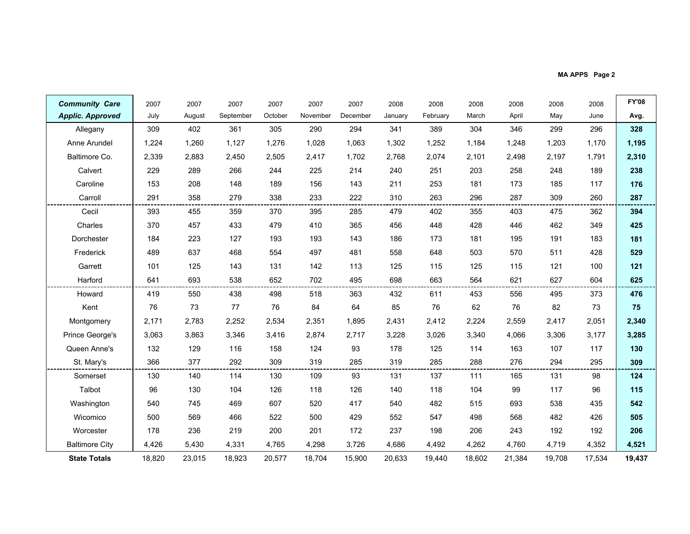MA APPS Page 2

| <b>Community Care</b>   | 2007   | 2007   | 2007      | 2007    | 2007     | 2007     | 2008    | 2008     | 2008   | 2008   | 2008   | 2008   | <b>FY'08</b> |
|-------------------------|--------|--------|-----------|---------|----------|----------|---------|----------|--------|--------|--------|--------|--------------|
| <b>Applic. Approved</b> | July   | August | September | October | November | December | January | February | March  | April  | May    | June   | Avg.         |
| Allegany                | 309    | 402    | 361       | 305     | 290      | 294      | 341     | 389      | 304    | 346    | 299    | 296    | 328          |
| Anne Arundel            | 1,224  | 1,260  | 1,127     | 1,276   | 1,028    | 1,063    | 1,302   | 1,252    | 1,184  | 1,248  | 1,203  | 1,170  | 1,195        |
| Baltimore Co.           | 2,339  | 2,883  | 2,450     | 2,505   | 2,417    | 1,702    | 2,768   | 2,074    | 2,101  | 2,498  | 2,197  | 1,791  | 2,310        |
| Calvert                 | 229    | 289    | 266       | 244     | 225      | 214      | 240     | 251      | 203    | 258    | 248    | 189    | 238          |
| Caroline                | 153    | 208    | 148       | 189     | 156      | 143      | 211     | 253      | 181    | 173    | 185    | 117    | 176          |
| Carroll                 | 291    | 358    | 279       | 338     | 233      | 222      | 310     | 263      | 296    | 287    | 309    | 260    | 287          |
| Cecil                   | 393    | 455    | 359       | 370     | 395      | 285      | 479     | 402      | 355    | 403    | 475    | 362    | 394          |
| Charles                 | 370    | 457    | 433       | 479     | 410      | 365      | 456     | 448      | 428    | 446    | 462    | 349    | 425          |
| Dorchester              | 184    | 223    | 127       | 193     | 193      | 143      | 186     | 173      | 181    | 195    | 191    | 183    | 181          |
| Frederick               | 489    | 637    | 468       | 554     | 497      | 481      | 558     | 648      | 503    | 570    | 511    | 428    | 529          |
| Garrett                 | 101    | 125    | 143       | 131     | 142      | 113      | 125     | 115      | 125    | 115    | 121    | 100    | 121          |
| Harford                 | 641    | 693    | 538       | 652     | 702      | 495      | 698     | 663      | 564    | 621    | 627    | 604    | 625          |
| Howard                  | 419    | 550    | 438       | 498     | 518      | 363      | 432     | 611      | 453    | 556    | 495    | 373    | 476          |
| Kent                    | 76     | 73     | 77        | 76      | 84       | 64       | 85      | 76       | 62     | 76     | 82     | 73     | 75           |
| Montgomery              | 2,171  | 2,783  | 2,252     | 2,534   | 2,351    | 1,895    | 2,431   | 2,412    | 2,224  | 2,559  | 2,417  | 2,051  | 2,340        |
| Prince George's         | 3,063  | 3,863  | 3,346     | 3,416   | 2,874    | 2,717    | 3,228   | 3,026    | 3,340  | 4.066  | 3,306  | 3,177  | 3,285        |
| Queen Anne's            | 132    | 129    | 116       | 158     | 124      | 93       | 178     | 125      | 114    | 163    | 107    | 117    | 130          |
| St. Mary's              | 366    | 377    | 292       | 309     | 319      | 285      | 319     | 285      | 288    | 276    | 294    | 295    | 309          |
| Somerset                | 130    | 140    | 114       | 130     | 109      | 93       | 131     | 137      | 111    | 165    | 131    | 98     | 124          |
| Talbot                  | 96     | 130    | 104       | 126     | 118      | 126      | 140     | 118      | 104    | 99     | 117    | 96     | 115          |
| Washington              | 540    | 745    | 469       | 607     | 520      | 417      | 540     | 482      | 515    | 693    | 538    | 435    | 542          |
| Wicomico                | 500    | 569    | 466       | 522     | 500      | 429      | 552     | 547      | 498    | 568    | 482    | 426    | 505          |
| Worcester               | 178    | 236    | 219       | 200     | 201      | 172      | 237     | 198      | 206    | 243    | 192    | 192    | 206          |
| <b>Baltimore City</b>   | 4,426  | 5,430  | 4,331     | 4,765   | 4,298    | 3,726    | 4,686   | 4,492    | 4,262  | 4,760  | 4,719  | 4,352  | 4,521        |
| <b>State Totals</b>     | 18,820 | 23,015 | 18,923    | 20,577  | 18,704   | 15,900   | 20,633  | 19,440   | 18,602 | 21,384 | 19,708 | 17,534 | 19,437       |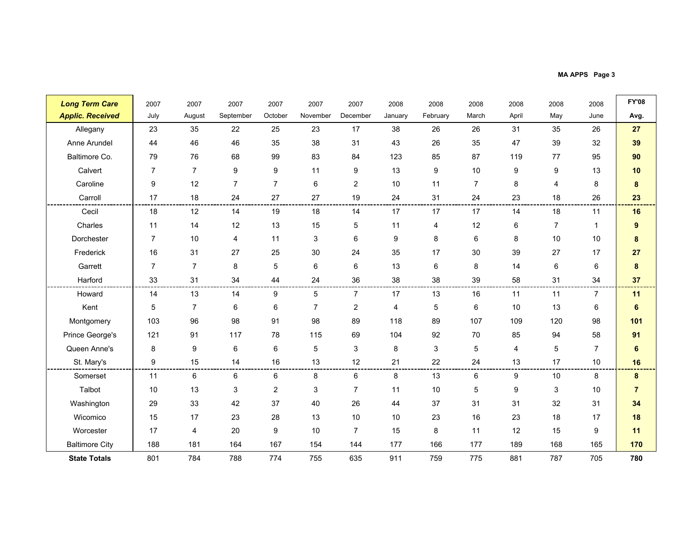MA APPS Page 3

| <b>Long Term Care</b>   | 2007           | 2007           | 2007             | 2007             | 2007           | 2007           | 2008           | 2008     | 2008           | 2008  | 2008             | 2008           | <b>FY'08</b>   |
|-------------------------|----------------|----------------|------------------|------------------|----------------|----------------|----------------|----------|----------------|-------|------------------|----------------|----------------|
| <b>Applic. Received</b> | July           | August         | September        | October          | November       | December       | January        | February | March          | April | May              | June           | Avg.           |
| Allegany                | 23             | 35             | 22               | 25               | 23             | 17             | 38             | 26       | 26             | 31    | 35               | 26             | 27             |
| Anne Arundel            | 44             | 46             | 46               | 35               | 38             | 31             | 43             | 26       | 35             | 47    | 39               | 32             | 39             |
| Baltimore Co.           | 79             | 76             | 68               | 99               | 83             | 84             | 123            | 85       | 87             | 119   | 77               | 95             | 90             |
| Calvert                 | $\overline{7}$ | $\overline{7}$ | $\boldsymbol{9}$ | $\boldsymbol{9}$ | 11             | 9              | 13             | 9        | 10             | 9     | $\boldsymbol{9}$ | 13             | 10             |
| Caroline                | 9              | 12             | $\overline{7}$   | $\overline{7}$   | 6              | $\overline{c}$ | 10             | 11       | $\overline{7}$ | 8     | 4                | 8              | 8              |
| Carroll                 | 17             | 18             | 24               | 27               | 27             | 19             | 24             | 31       | 24             | 23    | 18               | 26             | 23             |
| Cecil                   | 18             | 12             | 14               | 19               | 18             | 14             | 17             | 17       | 17             | 14    | 18               | 11             | 16             |
| Charles                 | 11             | 14             | 12               | 13               | 15             | 5              | 11             | 4        | 12             | 6     | $\overline{7}$   | $\mathbf{1}$   | 9              |
| Dorchester              | $\overline{7}$ | 10             | $\overline{4}$   | 11               | 3              | 6              | 9              | 8        | 6              | 8     | 10               | 10             | 8              |
| Frederick               | 16             | 31             | 27               | 25               | 30             | 24             | 35             | 17       | 30             | 39    | 27               | 17             | 27             |
| Garrett                 | $\overline{7}$ | $\overline{7}$ | 8                | $\overline{5}$   | 6              | 6              | 13             | 6        | 8              | 14    | $\,6\,$          | 6              | 8              |
| Harford                 | 33             | 31             | 34               | 44               | 24             | 36             | 38             | 38       | 39             | 58    | 31               | 34             | 37             |
| Howard                  | 14             | 13             | 14               | 9                | 5              | $\overline{7}$ | 17             | 13       | 16             | 11    | 11               | $\overline{7}$ | 11             |
| Kent                    | 5              | $\overline{7}$ | 6                | 6                | $\overline{7}$ | $\overline{c}$ | $\overline{4}$ | 5        | 6              | 10    | 13               | 6              | 6              |
| Montgomery              | 103            | 96             | 98               | 91               | 98             | 89             | 118            | 89       | 107            | 109   | 120              | 98             | 101            |
| Prince George's         | 121            | 91             | 117              | 78               | 115            | 69             | 104            | 92       | 70             | 85    | 94               | 58             | 91             |
| Queen Anne's            | 8              | 9              | 6                | 6                | 5              | 3              | 8              | 3        | $\sqrt{5}$     | 4     | $\mathbf 5$      | $\overline{7}$ | $\bf 6$        |
| St. Mary's              | 9              | 15             | 14               | 16               | 13             | 12             | 21             | 22       | 24             | 13    | 17               | 10             | 16             |
| Somerset                | 11             | 6              | 6                | 6                | 8              | 6              | 8              | 13       | 6              | 9     | 10               | 8              | 8              |
| Talbot                  | 10             | 13             | 3                | $\overline{2}$   | 3              | $\overline{7}$ | 11             | 10       | 5              | 9     | 3                | 10             | $\overline{7}$ |
| Washington              | 29             | 33             | 42               | 37               | 40             | 26             | 44             | 37       | 31             | 31    | 32               | 31             | 34             |
| Wicomico                | 15             | 17             | 23               | 28               | 13             | 10             | 10             | 23       | 16             | 23    | 18               | 17             | 18             |
| Worcester               | 17             | 4              | 20               | 9                | 10             | $\overline{7}$ | 15             | 8        | 11             | 12    | 15               | 9              | 11             |
| <b>Baltimore City</b>   | 188            | 181            | 164              | 167              | 154            | 144            | 177            | 166      | 177            | 189   | 168              | 165            | 170            |
| <b>State Totals</b>     | 801            | 784            | 788              | 774              | 755            | 635            | 911            | 759      | 775            | 881   | 787              | 705            | 780            |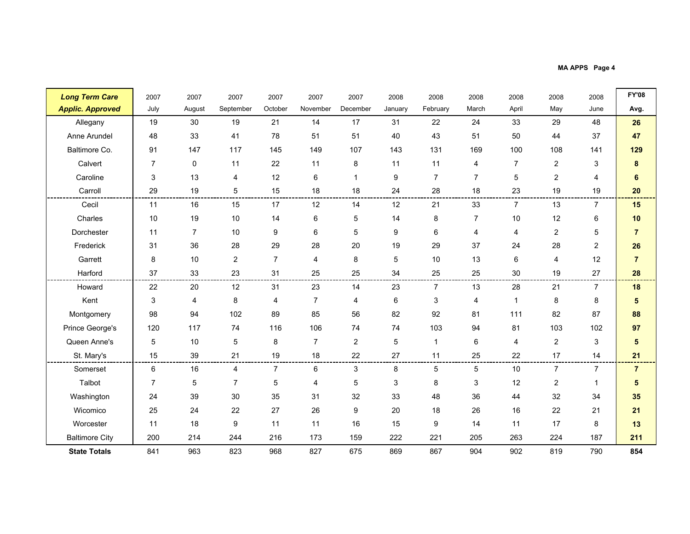MA APPS Page 4

| <b>Long Term Care</b>   | 2007           | 2007           | 2007           | 2007           | 2007           | 2007           | 2008    | 2008           | 2008           | 2008           | 2008           | 2008           | <b>FY'08</b>            |
|-------------------------|----------------|----------------|----------------|----------------|----------------|----------------|---------|----------------|----------------|----------------|----------------|----------------|-------------------------|
| <b>Applic. Approved</b> | July           | August         | September      | October        | November       | December       | January | February       | March          | April          | May            | June           | Avg.                    |
| Allegany                | 19             | 30             | 19             | 21             | 14             | 17             | 31      | 22             | 24             | 33             | 29             | 48             | 26                      |
| Anne Arundel            | 48             | 33             | 41             | 78             | 51             | 51             | 40      | 43             | 51             | 50             | 44             | 37             | 47                      |
| Baltimore Co.           | 91             | 147            | 117            | 145            | 149            | 107            | 143     | 131            | 169            | 100            | 108            | 141            | 129                     |
| Calvert                 | $\overline{7}$ | 0              | 11             | 22             | 11             | 8              | 11      | 11             | 4              | $\overline{7}$ | $\overline{c}$ | 3              | 8                       |
| Caroline                | 3              | 13             | 4              | 12             | 6              |                | 9       | $\overline{7}$ | $\overline{7}$ | 5              | $\overline{2}$ | 4              | 6                       |
| Carroll                 | 29             | 19             | 5              | 15             | 18             | 18             | 24      | 28             | 18             | 23             | 19             | 19             | 20                      |
| Cecil                   | 11             | 16             | 15             | 17             | 12             | 14             | 12      | 21             | 33             | $\overline{7}$ | 13             | $\overline{7}$ | 15                      |
| Charles                 | 10             | 19             | 10             | 14             | 6              | 5              | 14      | 8              | $\overline{7}$ | 10             | 12             | 6              | 10                      |
| Dorchester              | 11             | $\overline{7}$ | 10             | 9              | 6              | 5              | 9       | 6              | 4              | 4              | $\overline{2}$ | 5              | $\overline{7}$          |
| Frederick               | 31             | 36             | 28             | 29             | 28             | 20             | 19      | 29             | 37             | 24             | 28             | $\overline{2}$ | 26                      |
| Garrett                 | 8              | 10             | $\overline{c}$ | $\overline{7}$ | 4              | 8              | 5       | 10             | 13             | 6              | 4              | 12             | $\overline{7}$          |
| Harford                 | 37             | 33             | 23             | 31             | 25             | 25             | 34      | 25             | 25             | 30             | 19             | 27             | 28                      |
| Howard                  | 22             | 20             | 12             | 31             | 23             | 14             | 23      | $\overline{7}$ | 13             | 28             | 21             | $\overline{7}$ | 18                      |
| Kent                    | 3              | 4              | 8              | 4              | $\overline{7}$ | 4              | 6       | 3              | 4              | $\mathbf{1}$   | 8              | 8              | $5\phantom{.0}$         |
| Montgomery              | 98             | 94             | 102            | 89             | 85             | 56             | 82      | 92             | 81             | 111            | 82             | 87             | 88                      |
| Prince George's         | 120            | 117            | 74             | 116            | 106            | 74             | 74      | 103            | 94             | 81             | 103            | 102            | 97                      |
| Queen Anne's            | 5              | $10$           | 5              | 8              | $\overline{7}$ | $\overline{c}$ | 5       | $\overline{1}$ | 6              | 4              | $\overline{c}$ | 3              | $\overline{\mathbf{5}}$ |
| St. Mary's              | 15             | 39             | 21             | 19             | 18             | 22             | 27      | 11             | 25             | 22             | 17             | 14             | 21                      |
| Somerset                | 6              | 16             | 4              | $\overline{7}$ | 6              | 3              | 8       | 5              | 5              | 10             | $\overline{7}$ | $\overline{7}$ | $\overline{7}$          |
| Talbot                  | $\overline{7}$ | 5              | $\overline{7}$ | 5              | 4              | 5              | 3       | 8              | 3              | 12             | $\overline{c}$ | $\mathbf{1}$   | $\sqrt{5}$              |
| Washington              | 24             | 39             | 30             | 35             | 31             | 32             | 33      | 48             | 36             | 44             | 32             | 34             | 35                      |
| Wicomico                | 25             | 24             | 22             | 27             | 26             | 9              | 20      | 18             | 26             | 16             | 22             | 21             | 21                      |
| Worcester               | 11             | 18             | 9              | 11             | 11             | 16             | 15      | 9              | 14             | 11             | 17             | 8              | 13                      |
| <b>Baltimore City</b>   | 200            | 214            | 244            | 216            | 173            | 159            | 222     | 221            | 205            | 263            | 224            | 187            | 211                     |
| <b>State Totals</b>     | 841            | 963            | 823            | 968            | 827            | 675            | 869     | 867            | 904            | 902            | 819            | 790            | 854                     |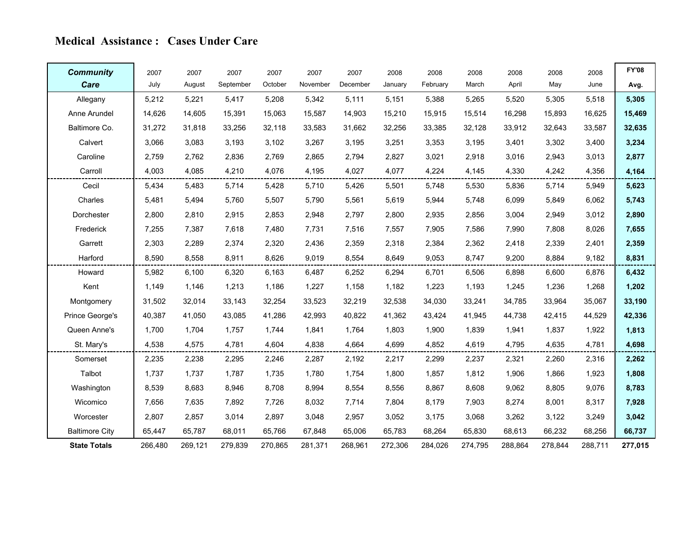### Medical Assistance : Cases Under Care

| <b>Community</b>      | 2007    | 2007    | 2007      | 2007    | 2007     | 2007     | 2008    | 2008     | 2008    | 2008    | 2008    | 2008    | <b>FY'08</b> |
|-----------------------|---------|---------|-----------|---------|----------|----------|---------|----------|---------|---------|---------|---------|--------------|
| Care                  | July    | August  | September | October | November | December | January | February | March   | April   | May     | June    | Avg.         |
| Allegany              | 5,212   | 5,221   | 5,417     | 5,208   | 5,342    | 5,111    | 5,151   | 5,388    | 5,265   | 5,520   | 5,305   | 5,518   | 5,305        |
| Anne Arundel          | 14,626  | 14,605  | 15,391    | 15,063  | 15,587   | 14,903   | 15,210  | 15,915   | 15,514  | 16,298  | 15,893  | 16,625  | 15,469       |
| Baltimore Co.         | 31,272  | 31,818  | 33,256    | 32,118  | 33.583   | 31,662   | 32,256  | 33,385   | 32,128  | 33,912  | 32,643  | 33,587  | 32,635       |
| Calvert               | 3,066   | 3,083   | 3,193     | 3,102   | 3,267    | 3,195    | 3,251   | 3,353    | 3,195   | 3,401   | 3,302   | 3,400   | 3,234        |
| Caroline              | 2,759   | 2,762   | 2,836     | 2,769   | 2,865    | 2,794    | 2,827   | 3,021    | 2,918   | 3,016   | 2,943   | 3,013   | 2,877        |
| Carroll               | 4,003   | 4,085   | 4,210     | 4,076   | 4,195    | 4,027    | 4,077   | 4,224    | 4,145   | 4,330   | 4,242   | 4,356   | 4,164        |
| Cecil                 | 5,434   | 5,483   | 5,714     | 5,428   | 5,710    | 5,426    | 5,501   | 5,748    | 5,530   | 5,836   | 5,714   | 5,949   | 5,623        |
| Charles               | 5,481   | 5,494   | 5,760     | 5,507   | 5,790    | 5,561    | 5,619   | 5,944    | 5,748   | 6,099   | 5,849   | 6,062   | 5,743        |
| Dorchester            | 2,800   | 2,810   | 2,915     | 2,853   | 2,948    | 2,797    | 2,800   | 2,935    | 2,856   | 3,004   | 2,949   | 3,012   | 2,890        |
| Frederick             | 7,255   | 7,387   | 7.618     | 7.480   | 7,731    | 7,516    | 7,557   | 7,905    | 7,586   | 7,990   | 7,808   | 8,026   | 7,655        |
| Garrett               | 2,303   | 2,289   | 2,374     | 2,320   | 2,436    | 2,359    | 2,318   | 2,384    | 2,362   | 2,418   | 2,339   | 2,401   | 2,359        |
| Harford               | 8,590   | 8.558   | 8,911     | 8.626   | 9.019    | 8,554    | 8,649   | 9,053    | 8,747   | 9,200   | 8,884   | 9,182   | 8,831        |
| Howard                | 5,982   | 6,100   | 6,320     | 6.163   | 6,487    | 6,252    | 6,294   | 6,701    | 6,506   | 6,898   | 6,600   | 6,876   | 6,432        |
| Kent                  | 1,149   | 1,146   | 1,213     | 1,186   | 1,227    | 1,158    | 1,182   | 1,223    | 1,193   | 1,245   | 1,236   | 1,268   | 1,202        |
| Montgomery            | 31,502  | 32,014  | 33,143    | 32,254  | 33,523   | 32,219   | 32,538  | 34,030   | 33,241  | 34,785  | 33,964  | 35,067  | 33,190       |
| Prince George's       | 40,387  | 41,050  | 43,085    | 41,286  | 42,993   | 40,822   | 41,362  | 43,424   | 41,945  | 44,738  | 42,415  | 44,529  | 42,336       |
| Queen Anne's          | 1,700   | 1,704   | 1,757     | 1,744   | 1,841    | 1,764    | 1,803   | 1,900    | 1,839   | 1,941   | 1,837   | 1,922   | 1,813        |
| St. Mary's            | 4,538   | 4,575   | 4,781     | 4,604   | 4,838    | 4,664    | 4,699   | 4,852    | 4,619   | 4,795   | 4,635   | 4,781   | 4,698        |
| Somerset              | 2,235   | 2,238   | 2,295     | 2,246   | 2,287    | 2,192    | 2,217   | 2,299    | 2,237   | 2,321   | 2,260   | 2,316   | 2,262        |
| Talbot                | 1,737   | 1,737   | 1,787     | 1,735   | 1,780    | 1,754    | 1,800   | 1,857    | 1,812   | 1,906   | 1,866   | 1,923   | 1,808        |
| Washington            | 8,539   | 8,683   | 8,946     | 8.708   | 8,994    | 8,554    | 8,556   | 8,867    | 8,608   | 9,062   | 8,805   | 9,076   | 8,783        |
| Wicomico              | 7,656   | 7,635   | 7,892     | 7,726   | 8,032    | 7,714    | 7,804   | 8,179    | 7,903   | 8,274   | 8,001   | 8,317   | 7,928        |
| Worcester             | 2,807   | 2.857   | 3.014     | 2.897   | 3,048    | 2,957    | 3,052   | 3,175    | 3,068   | 3,262   | 3,122   | 3,249   | 3,042        |
| <b>Baltimore City</b> | 65,447  | 65,787  | 68,011    | 65,766  | 67,848   | 65,006   | 65,783  | 68,264   | 65,830  | 68,613  | 66,232  | 68,256  | 66,737       |
| <b>State Totals</b>   | 266,480 | 269,121 | 279,839   | 270,865 | 281,371  | 268,961  | 272,306 | 284,026  | 274,795 | 288,864 | 278,844 | 288,711 | 277,015      |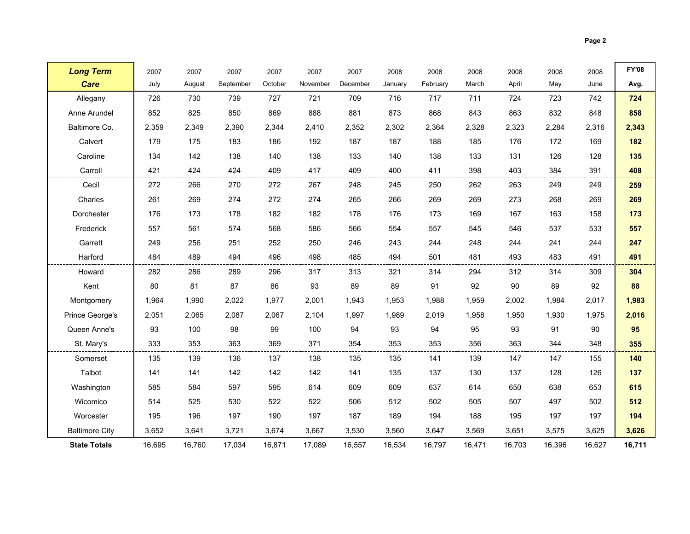|--|--|

| <b>Long Term</b>      | 2007   | 2007   | 2007      | 2007    | 2007     | 2007     | 2008    | 2008     | 2008   | 2008   | 2008   | 2008   | <b>FY'08</b> |
|-----------------------|--------|--------|-----------|---------|----------|----------|---------|----------|--------|--------|--------|--------|--------------|
| <b>Care</b>           | July   | August | September | October | November | December | January | February | March  | April  | May    | June   | Avg.         |
| Allegany              | 726    | 730    | 739       | 727     | 721      | 709      | 716     | 717      | 711    | 724    | 723    | 742    | 724          |
| Anne Arundel          | 852    | 825    | 850       | 869     | 888      | 881      | 873     | 868      | 843    | 863    | 832    | 848    | 858          |
| Baltimore Co.         | 2,359  | 2,349  | 2,390     | 2,344   | 2,410    | 2.352    | 2,302   | 2,364    | 2,328  | 2,323  | 2,284  | 2,316  | 2,343        |
| Calvert               | 179    | 175    | 183       | 186     | 192      | 187      | 187     | 188      | 185    | 176    | 172    | 169    | 182          |
| Caroline              | 134    | 142    | 138       | 140     | 138      | 133      | 140     | 138      | 133    | 131    | 126    | 128    | 135          |
| Carroll               | 421    | 424    | 424       | 409     | 417      | 409      | 400     | 411      | 398    | 403    | 384    | 391    | 408          |
| Cecil                 | 272    | 266    | 270       | 272     | 267      | 248      | 245     | 250      | 262    | 263    | 249    | 249    | 259          |
| Charles               | 261    | 269    | 274       | 272     | 274      | 265      | 266     | 269      | 269    | 273    | 268    | 269    | 269          |
| Dorchester            | 176    | 173    | 178       | 182     | 182      | 178      | 176     | 173      | 169    | 167    | 163    | 158    | 173          |
| Frederick             | 557    | 561    | 574       | 568     | 586      | 566      | 554     | 557      | 545    | 546    | 537    | 533    | 557          |
| Garrett               | 249    | 256    | 251       | 252     | 250      | 246      | 243     | 244      | 248    | 244    | 241    | 244    | 247          |
| Harford               | 484    | 489    | 494       | 496     | 498      | 485      | 494     | 501      | 481    | 493    | 483    | 491    | 491          |
| Howard                | 282    | 286    | 289       | 296     | 317      | 313      | 321     | 314      | 294    | 312    | 314    | 309    | 304          |
| Kent                  | 80     | 81     | 87        | 86      | 93       | 89       | 89      | 91       | 92     | 90     | 89     | 92     | 88           |
| Montgomery            | 1,964  | 1,990  | 2,022     | 1,977   | 2,001    | 1,943    | 1,953   | 1,988    | 1,959  | 2,002  | 1,984  | 2,017  | 1,983        |
| Prince George's       | 2,051  | 2,065  | 2,087     | 2,067   | 2,104    | 1,997    | 1,989   | 2,019    | 1,958  | 1,950  | 1,930  | 1,975  | 2,016        |
| Queen Anne's          | 93     | 100    | 98        | 99      | 100      | 94       | 93      | 94       | 95     | 93     | 91     | 90     | 95           |
| St. Mary's            | 333    | 353    | 363       | 369     | 371      | 354      | 353     | 353      | 356    | 363    | 344    | 348    | 355          |
| Somerset              | 135    | 139    | 136       | 137     | 138      | 135      | 135     | 141      | 139    | 147    | 147    | 155    | 140          |
| Talbot                | 141    | 141    | 142       | 142     | 142      | 141      | 135     | 137      | 130    | 137    | 128    | 126    | 137          |
| Washington            | 585    | 584    | 597       | 595     | 614      | 609      | 609     | 637      | 614    | 650    | 638    | 653    | 615          |
| Wicomico              | 514    | 525    | 530       | 522     | 522      | 506      | 512     | 502      | 505    | 507    | 497    | 502    | 512          |
| Worcester             | 195    | 196    | 197       | 190     | 197      | 187      | 189     | 194      | 188    | 195    | 197    | 197    | 194          |
| <b>Baltimore City</b> | 3,652  | 3,641  | 3,721     | 3,674   | 3,667    | 3,530    | 3,560   | 3,647    | 3,569  | 3,651  | 3,575  | 3,625  | 3,626        |
| <b>State Totals</b>   | 16,695 | 16,760 | 17,034    | 16,871  | 17,089   | 16,557   | 16,534  | 16,797   | 16,471 | 16,703 | 16,396 | 16,627 | 16,711       |